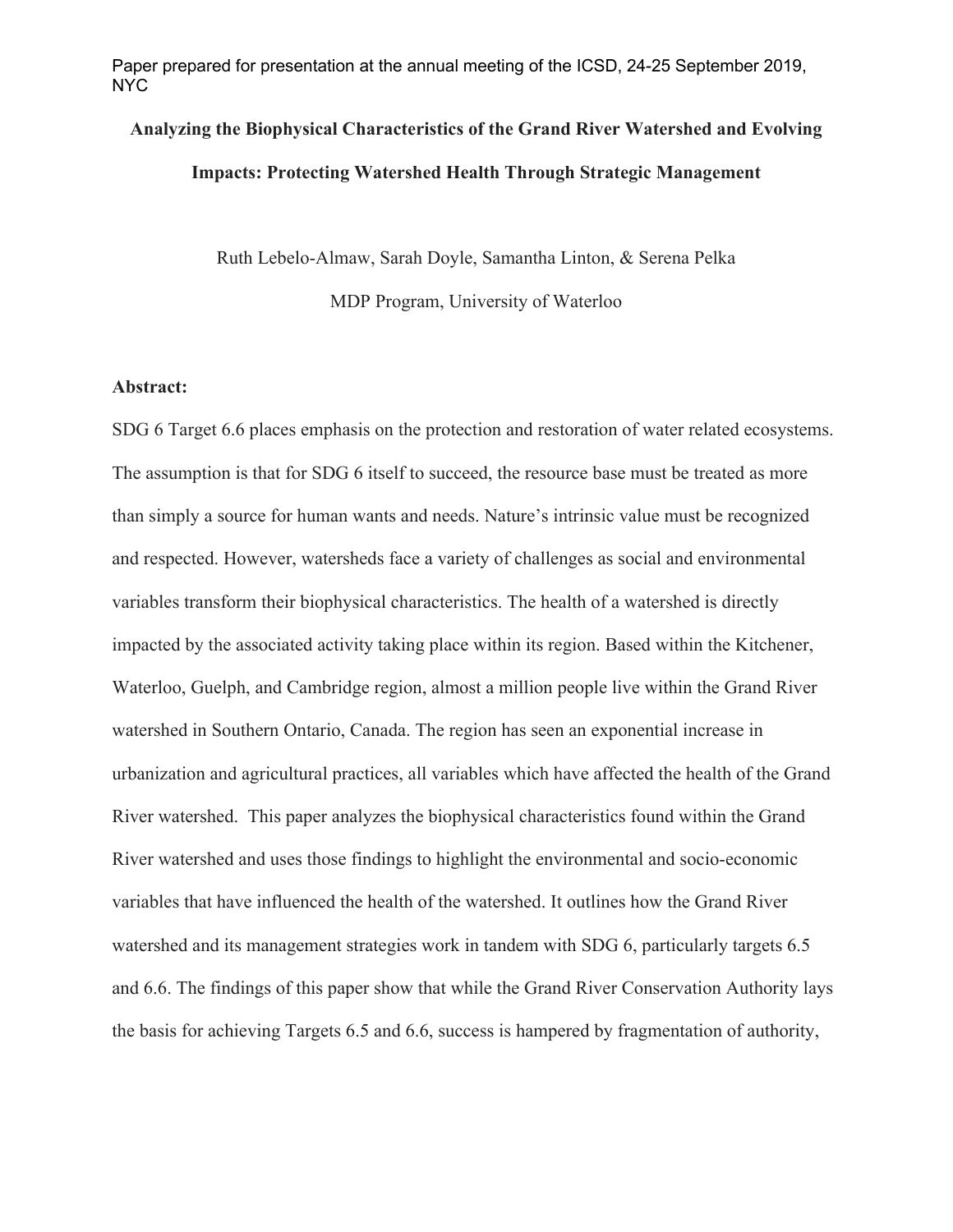Paper prepared for presentation at the annual meeting of the ICSD, 24-25 September 2019, NYC

# **Analyzing the Biophysical Characteristics of the Grand River Watershed and Evolving Impacts: Protecting Watershed Health Through Strategic Management**

Ruth Lebelo-Almaw, Sarah Doyle, Samantha Linton, & Serena Pelka MDP Program, University of Waterloo

#### **Abstract:**

SDG 6 Target 6.6 places emphasis on the protection and restoration of water related ecosystems. The assumption is that for SDG 6 itself to succeed, the resource base must be treated as more than simply a source for human wants and needs. Nature's intrinsic value must be recognized and respected. However, watersheds face a variety of challenges as social and environmental variables transform their biophysical characteristics. The health of a watershed is directly impacted by the associated activity taking place within its region. Based within the Kitchener, Waterloo, Guelph, and Cambridge region, almost a million people live within the Grand River watershed in Southern Ontario, Canada. The region has seen an exponential increase in urbanization and agricultural practices, all variables which have affected the health of the Grand River watershed. This paper analyzes the biophysical characteristics found within the Grand River watershed and uses those findings to highlight the environmental and socio-economic variables that have influenced the health of the watershed. It outlines how the Grand River watershed and its management strategies work in tandem with SDG 6, particularly targets 6.5 and 6.6. The findings of this paper show that while the Grand River Conservation Authority lays the basis for achieving Targets 6.5 and 6.6, success is hampered by fragmentation of authority,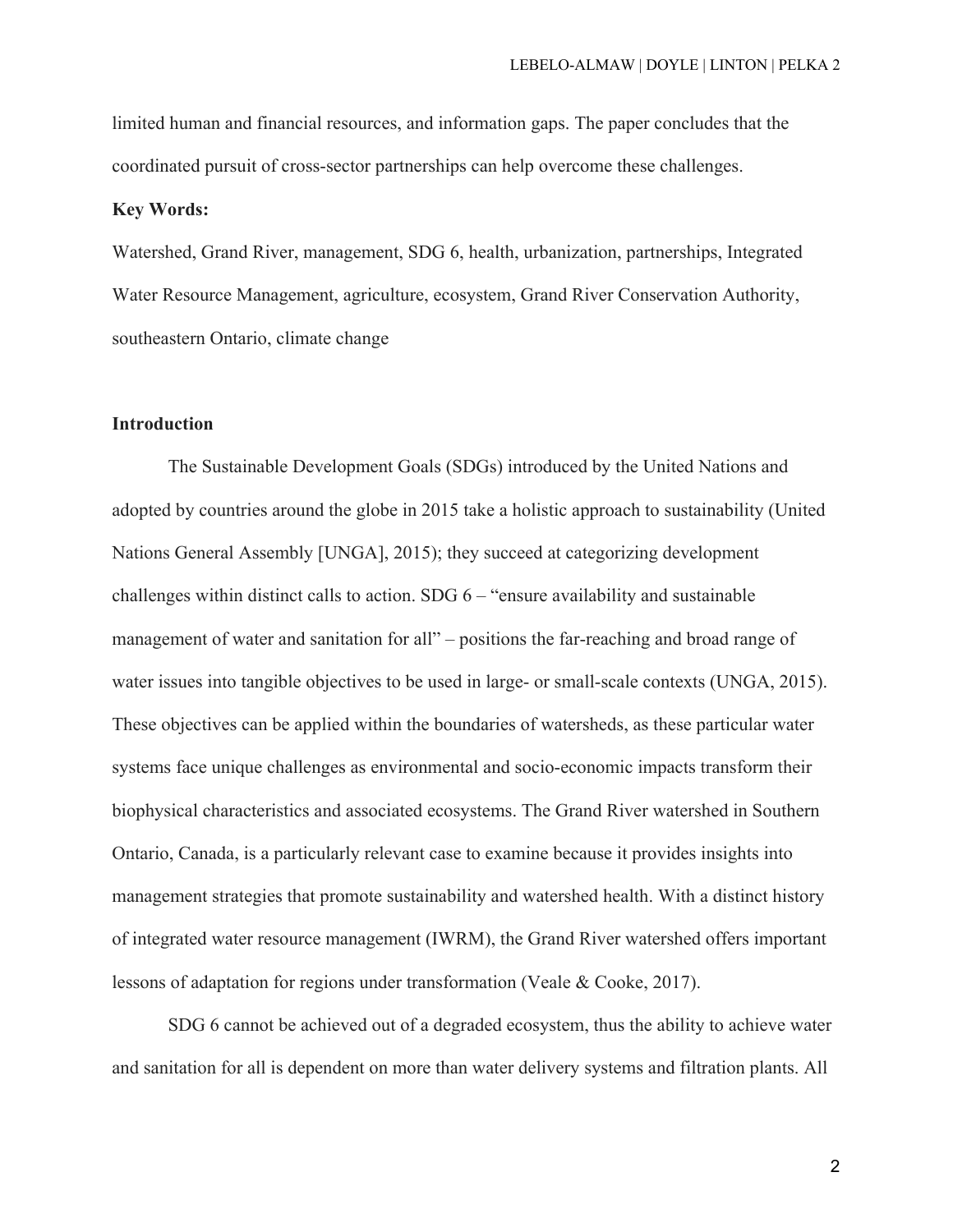limited human and financial resources, and information gaps. The paper concludes that the coordinated pursuit of cross-sector partnerships can help overcome these challenges.

#### **Key Words:**

Watershed, Grand River, management, SDG 6, health, urbanization, partnerships, Integrated Water Resource Management, agriculture, ecosystem, Grand River Conservation Authority, southeastern Ontario, climate change

## **Introduction**

The Sustainable Development Goals (SDGs) introduced by the United Nations and adopted by countries around the globe in 2015 take a holistic approach to sustainability (United Nations General Assembly [UNGA], 2015); they succeed at categorizing development challenges within distinct calls to action.  $SDG 6$  – "ensure availability and sustainable management of water and sanitation for all" – positions the far-reaching and broad range of water issues into tangible objectives to be used in large- or small-scale contexts (UNGA, 2015). These objectives can be applied within the boundaries of watersheds, as these particular water systems face unique challenges as environmental and socio-economic impacts transform their biophysical characteristics and associated ecosystems. The Grand River watershed in Southern Ontario, Canada, is a particularly relevant case to examine because it provides insights into management strategies that promote sustainability and watershed health. With a distinct history of integrated water resource management (IWRM), the Grand River watershed offers important lessons of adaptation for regions under transformation (Veale & Cooke, 2017).

SDG 6 cannot be achieved out of a degraded ecosystem, thus the ability to achieve water and sanitation for all is dependent on more than water delivery systems and filtration plants. All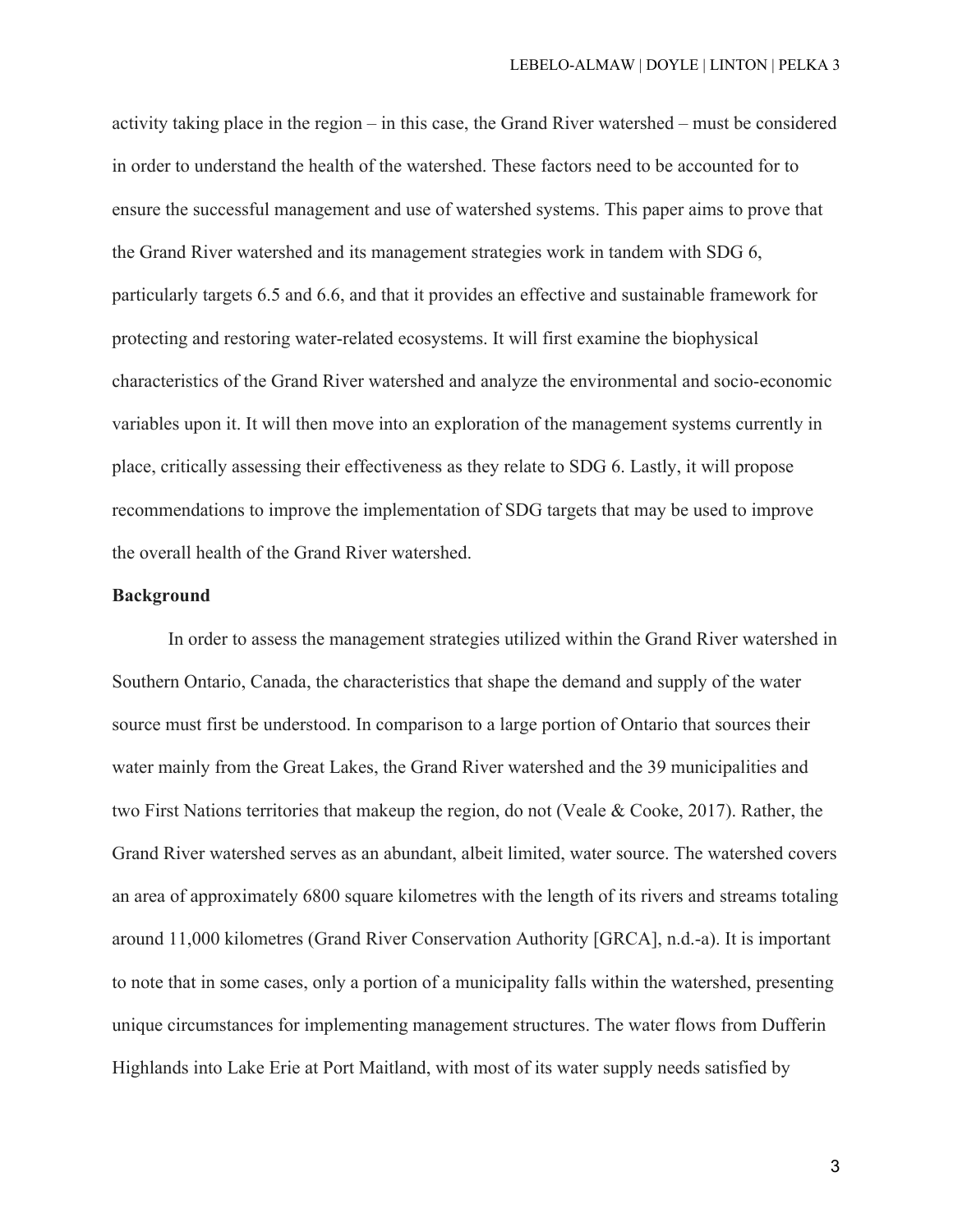activity taking place in the region – in this case, the Grand River watershed – must be considered in order to understand the health of the watershed. These factors need to be accounted for to ensure the successful management and use of watershed systems. This paper aims to prove that the Grand River watershed and its management strategies work in tandem with SDG 6, particularly targets 6.5 and 6.6, and that it provides an effective and sustainable framework for protecting and restoring water-related ecosystems. It will first examine the biophysical characteristics of the Grand River watershed and analyze the environmental and socio-economic variables upon it. It will then move into an exploration of the management systems currently in place, critically assessing their effectiveness as they relate to SDG 6. Lastly, it will propose recommendations to improve the implementation of SDG targets that may be used to improve the overall health of the Grand River watershed.

## **Background**

In order to assess the management strategies utilized within the Grand River watershed in Southern Ontario, Canada, the characteristics that shape the demand and supply of the water source must first be understood. In comparison to a large portion of Ontario that sources their water mainly from the Great Lakes, the Grand River watershed and the 39 municipalities and two First Nations territories that makeup the region, do not (Veale & Cooke, 2017). Rather, the Grand River watershed serves as an abundant, albeit limited, water source. The watershed covers an area of approximately 6800 square kilometres with the length of its rivers and streams totaling around 11,000 kilometres (Grand River Conservation Authority [GRCA], n.d.-a). It is important to note that in some cases, only a portion of a municipality falls within the watershed, presenting unique circumstances for implementing management structures. The water flows from Dufferin Highlands into Lake Erie at Port Maitland, with most of its water supply needs satisfied by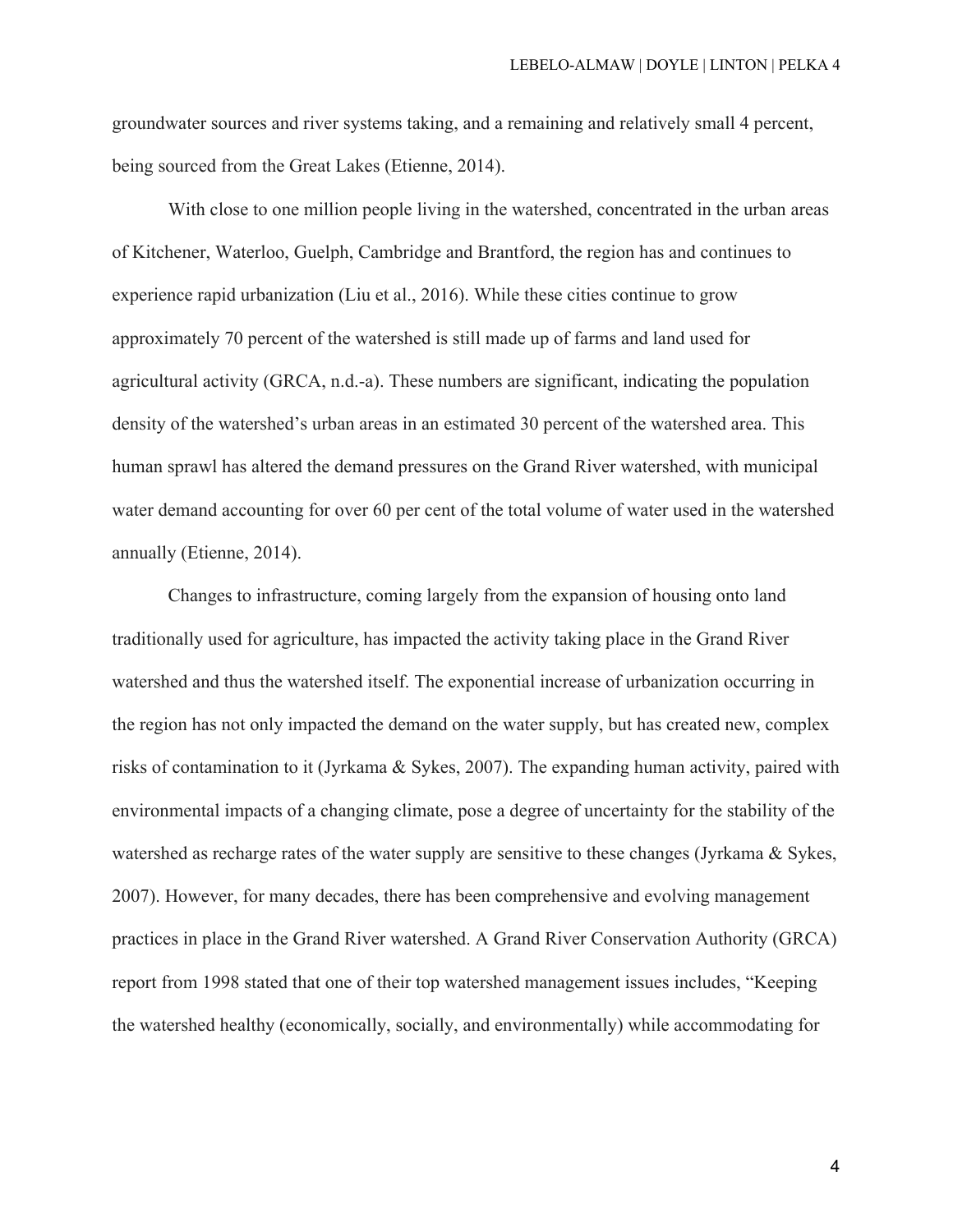groundwater sources and river systems taking, and a remaining and relatively small 4 percent, being sourced from the Great Lakes (Etienne, 2014).

With close to one million people living in the watershed, concentrated in the urban areas of Kitchener, Waterloo, Guelph, Cambridge and Brantford, the region has and continues to experience rapid urbanization (Liu et al., 2016). While these cities continue to grow approximately 70 percent of the watershed is still made up of farms and land used for agricultural activity (GRCA, n.d.-a). These numbers are significant, indicating the population density of the watershed's urban areas in an estimated 30 percent of the watershed area. This human sprawl has altered the demand pressures on the Grand River watershed, with municipal water demand accounting for over 60 per cent of the total volume of water used in the watershed annually (Etienne, 2014).

Changes to infrastructure, coming largely from the expansion of housing onto land traditionally used for agriculture, has impacted the activity taking place in the Grand River watershed and thus the watershed itself. The exponential increase of urbanization occurring in the region has not only impacted the demand on the water supply, but has created new, complex risks of contamination to it (Jyrkama & Sykes, 2007). The expanding human activity, paired with environmental impacts of a changing climate, pose a degree of uncertainty for the stability of the watershed as recharge rates of the water supply are sensitive to these changes (Jyrkama & Sykes, 2007). However, for many decades, there has been comprehensive and evolving management practices in place in the Grand River watershed. A Grand River Conservation Authority (GRCA) report from 1998 stated that one of their top watershed management issues includes, "Keeping the watershed healthy (economically, socially, and environmentally) while accommodating for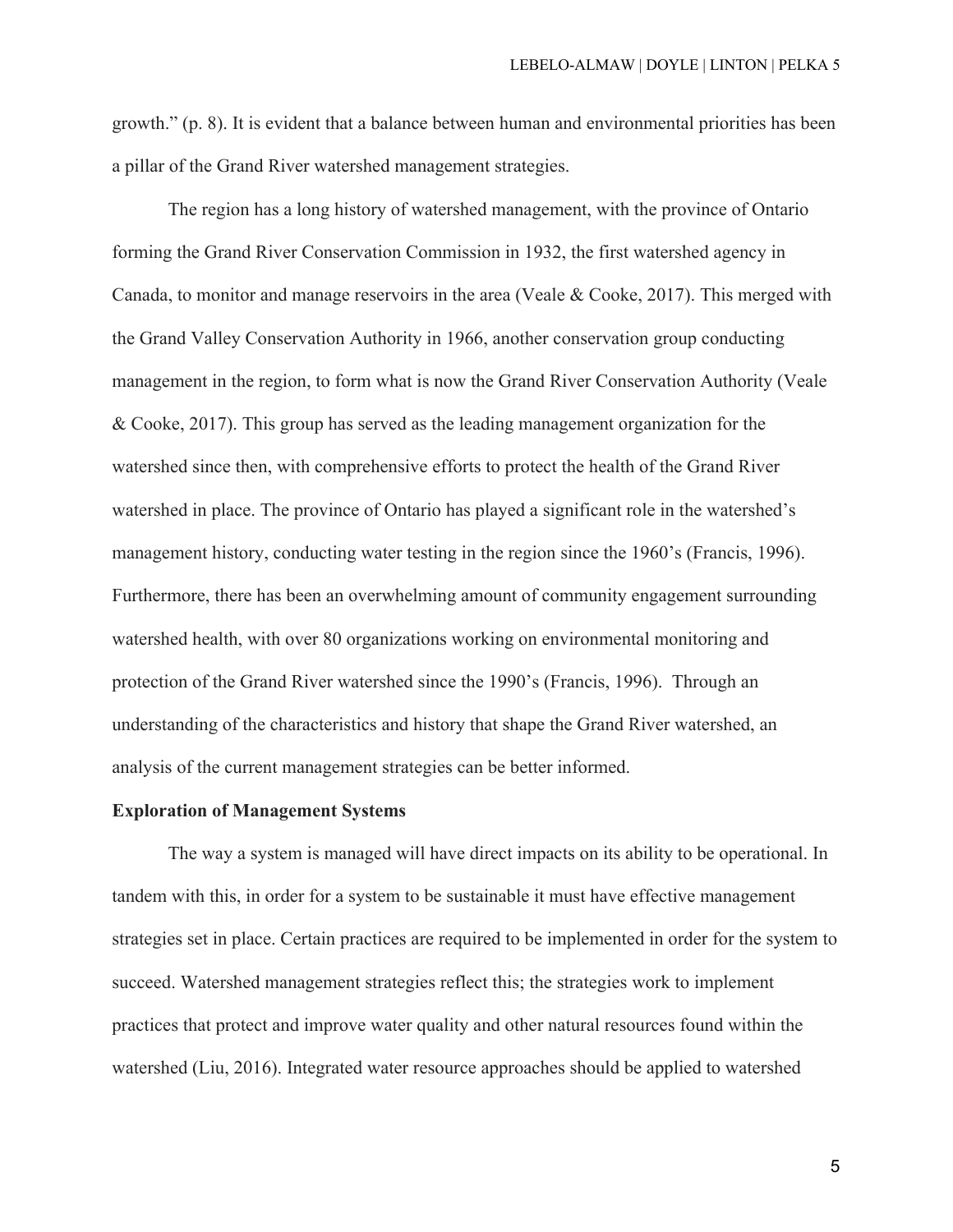growth." (p. 8). It is evident that a balance between human and environmental priorities has been a pillar of the Grand River watershed management strategies.

The region has a long history of watershed management, with the province of Ontario forming the Grand River Conservation Commission in 1932, the first watershed agency in Canada, to monitor and manage reservoirs in the area (Veale & Cooke, 2017). This merged with the Grand Valley Conservation Authority in 1966, another conservation group conducting management in the region, to form what is now the Grand River Conservation Authority (Veale & Cooke, 2017). This group has served as the leading management organization for the watershed since then, with comprehensive efforts to protect the health of the Grand River watershed in place. The province of Ontario has played a significant role in the watershed's management history, conducting water testing in the region since the 1960's (Francis, 1996). Furthermore, there has been an overwhelming amount of community engagement surrounding watershed health, with over 80 organizations working on environmental monitoring and protection of the Grand River watershed since the 1990's (Francis, 1996). Through an understanding of the characteristics and history that shape the Grand River watershed, an analysis of the current management strategies can be better informed.

#### **Exploration of Management Systems**

The way a system is managed will have direct impacts on its ability to be operational. In tandem with this, in order for a system to be sustainable it must have effective management strategies set in place. Certain practices are required to be implemented in order for the system to succeed. Watershed management strategies reflect this; the strategies work to implement practices that protect and improve water quality and other natural resources found within the watershed (Liu, 2016). Integrated water resource approaches should be applied to watershed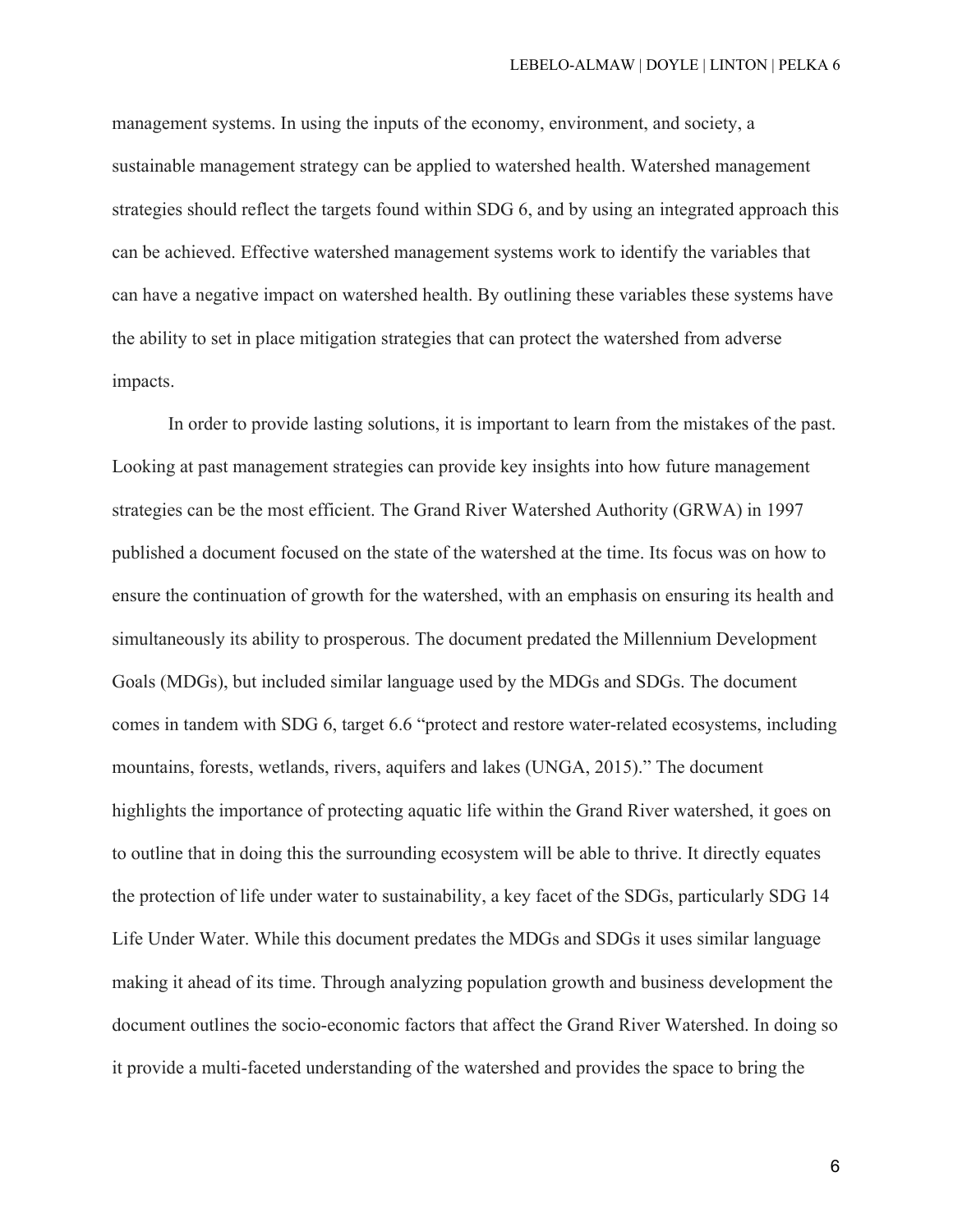management systems. In using the inputs of the economy, environment, and society, a sustainable management strategy can be applied to watershed health. Watershed management strategies should reflect the targets found within SDG 6, and by using an integrated approach this can be achieved. Effective watershed management systems work to identify the variables that can have a negative impact on watershed health. By outlining these variables these systems have the ability to set in place mitigation strategies that can protect the watershed from adverse impacts.

In order to provide lasting solutions, it is important to learn from the mistakes of the past. Looking at past management strategies can provide key insights into how future management strategies can be the most efficient. The Grand River Watershed Authority (GRWA) in 1997 published a document focused on the state of the watershed at the time. Its focus was on how to ensure the continuation of growth for the watershed, with an emphasis on ensuring its health and simultaneously its ability to prosperous. The document predated the Millennium Development Goals (MDGs), but included similar language used by the MDGs and SDGs. The document comes in tandem with SDG 6, target 6.6 "protect and restore water-related ecosystems, including mountains, forests, wetlands, rivers, aquifers and lakes (UNGA, 2015)." The document highlights the importance of protecting aquatic life within the Grand River watershed, it goes on to outline that in doing this the surrounding ecosystem will be able to thrive. It directly equates the protection of life under water to sustainability, a key facet of the SDGs, particularly SDG 14 Life Under Water. While this document predates the MDGs and SDGs it uses similar language making it ahead of its time. Through analyzing population growth and business development the document outlines the socio-economic factors that affect the Grand River Watershed. In doing so it provide a multi-faceted understanding of the watershed and provides the space to bring the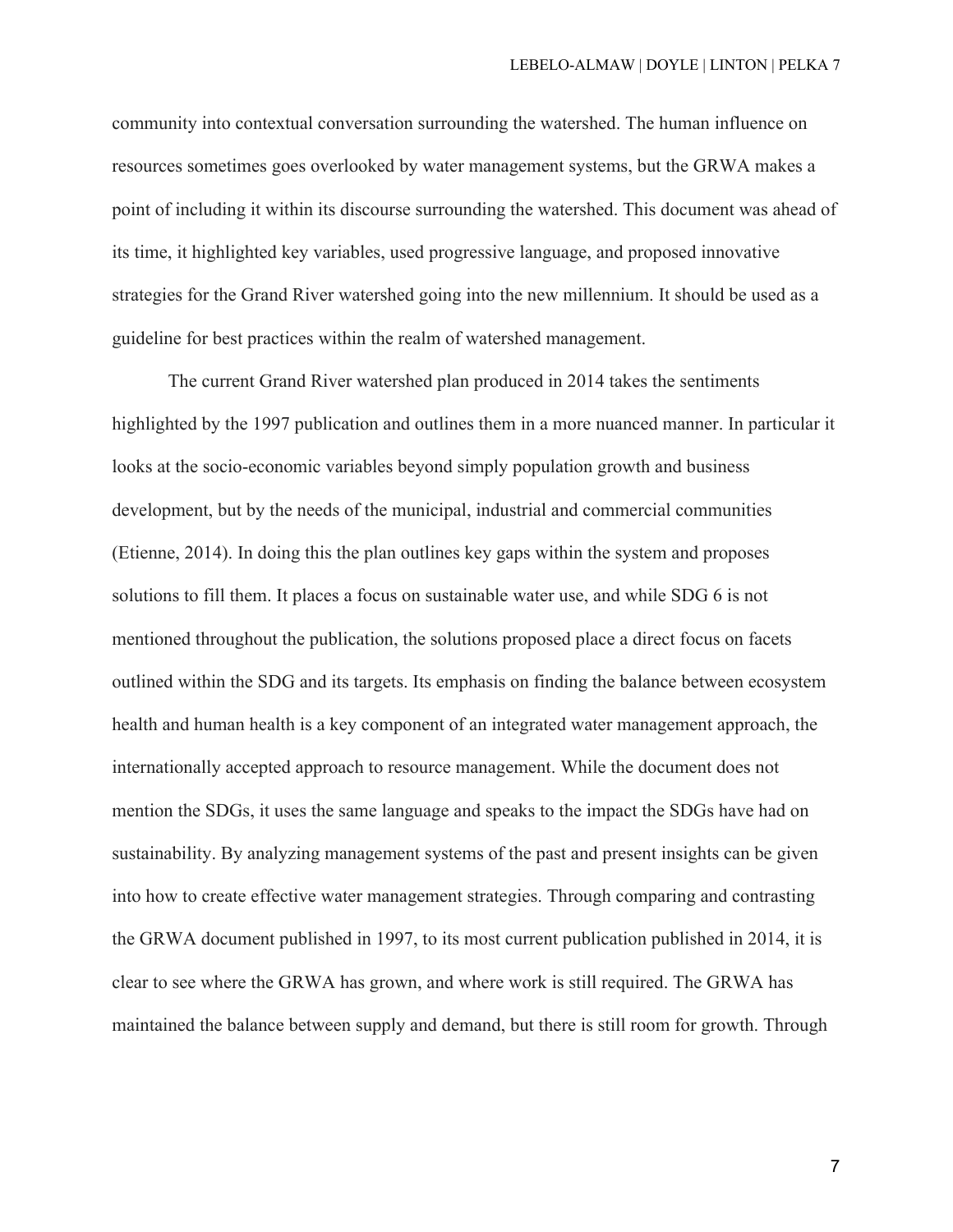community into contextual conversation surrounding the watershed. The human influence on resources sometimes goes overlooked by water management systems, but the GRWA makes a point of including it within its discourse surrounding the watershed. This document was ahead of its time, it highlighted key variables, used progressive language, and proposed innovative strategies for the Grand River watershed going into the new millennium. It should be used as a guideline for best practices within the realm of watershed management.

The current Grand River watershed plan produced in 2014 takes the sentiments highlighted by the 1997 publication and outlines them in a more nuanced manner. In particular it looks at the socio-economic variables beyond simply population growth and business development, but by the needs of the municipal, industrial and commercial communities (Etienne, 2014). In doing this the plan outlines key gaps within the system and proposes solutions to fill them. It places a focus on sustainable water use, and while SDG 6 is not mentioned throughout the publication, the solutions proposed place a direct focus on facets outlined within the SDG and its targets. Its emphasis on finding the balance between ecosystem health and human health is a key component of an integrated water management approach, the internationally accepted approach to resource management. While the document does not mention the SDGs, it uses the same language and speaks to the impact the SDGs have had on sustainability. By analyzing management systems of the past and present insights can be given into how to create effective water management strategies. Through comparing and contrasting the GRWA document published in 1997, to its most current publication published in 2014, it is clear to see where the GRWA has grown, and where work is still required. The GRWA has maintained the balance between supply and demand, but there is still room for growth. Through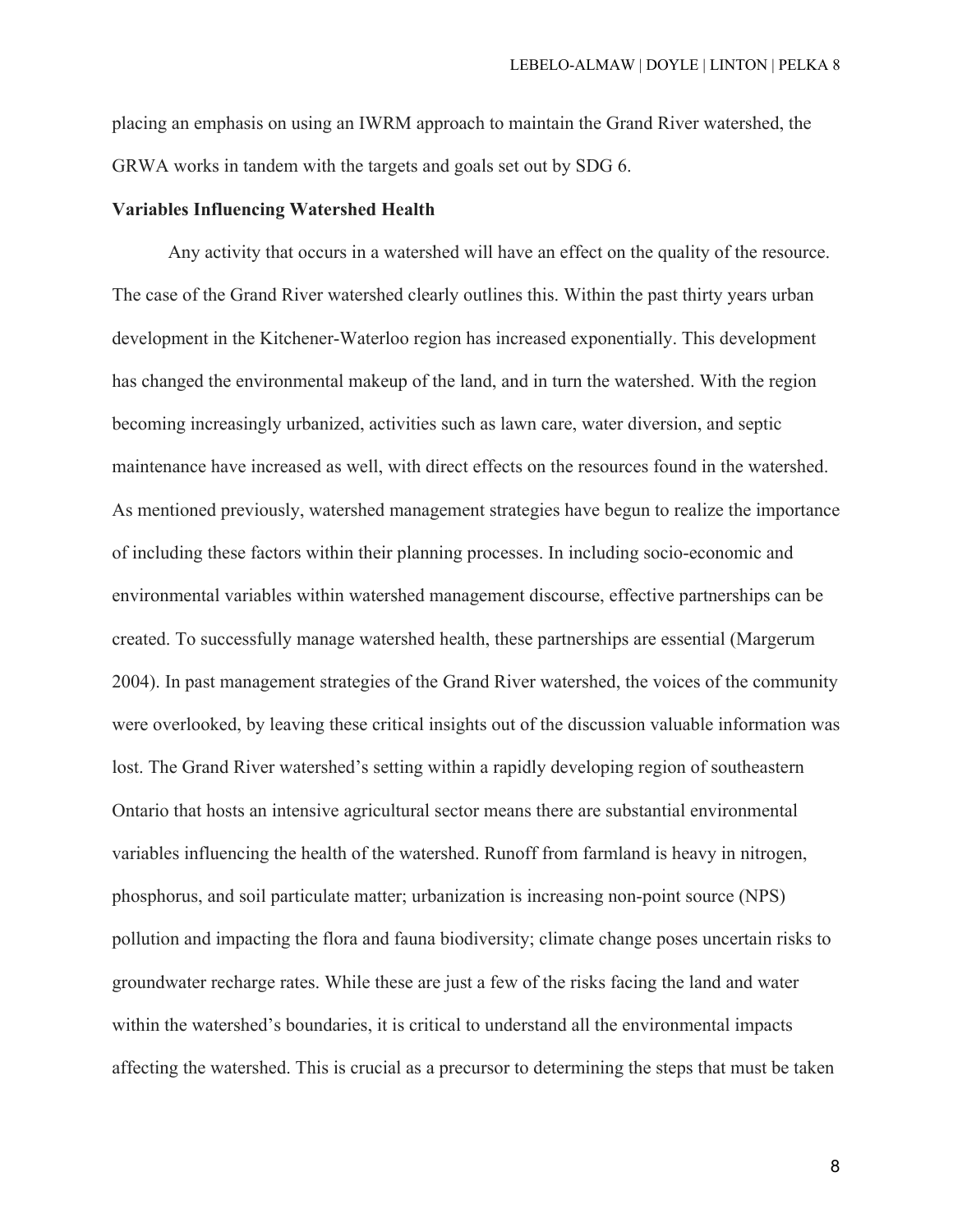placing an emphasis on using an IWRM approach to maintain the Grand River watershed, the GRWA works in tandem with the targets and goals set out by SDG 6.

#### **Variables Influencing Watershed Health**

Any activity that occurs in a watershed will have an effect on the quality of the resource. The case of the Grand River watershed clearly outlines this. Within the past thirty years urban development in the Kitchener-Waterloo region has increased exponentially. This development has changed the environmental makeup of the land, and in turn the watershed. With the region becoming increasingly urbanized, activities such as lawn care, water diversion, and septic maintenance have increased as well, with direct effects on the resources found in the watershed. As mentioned previously, watershed management strategies have begun to realize the importance of including these factors within their planning processes. In including socio-economic and environmental variables within watershed management discourse, effective partnerships can be created. To successfully manage watershed health, these partnerships are essential (Margerum 2004). In past management strategies of the Grand River watershed, the voices of the community were overlooked, by leaving these critical insights out of the discussion valuable information was lost. The Grand River watershed's setting within a rapidly developing region of southeastern Ontario that hosts an intensive agricultural sector means there are substantial environmental variables influencing the health of the watershed. Runoff from farmland is heavy in nitrogen, phosphorus, and soil particulate matter; urbanization is increasing non-point source (NPS) pollution and impacting the flora and fauna biodiversity; climate change poses uncertain risks to groundwater recharge rates. While these are just a few of the risks facing the land and water within the watershed's boundaries, it is critical to understand all the environmental impacts affecting the watershed. This is crucial as a precursor to determining the steps that must be taken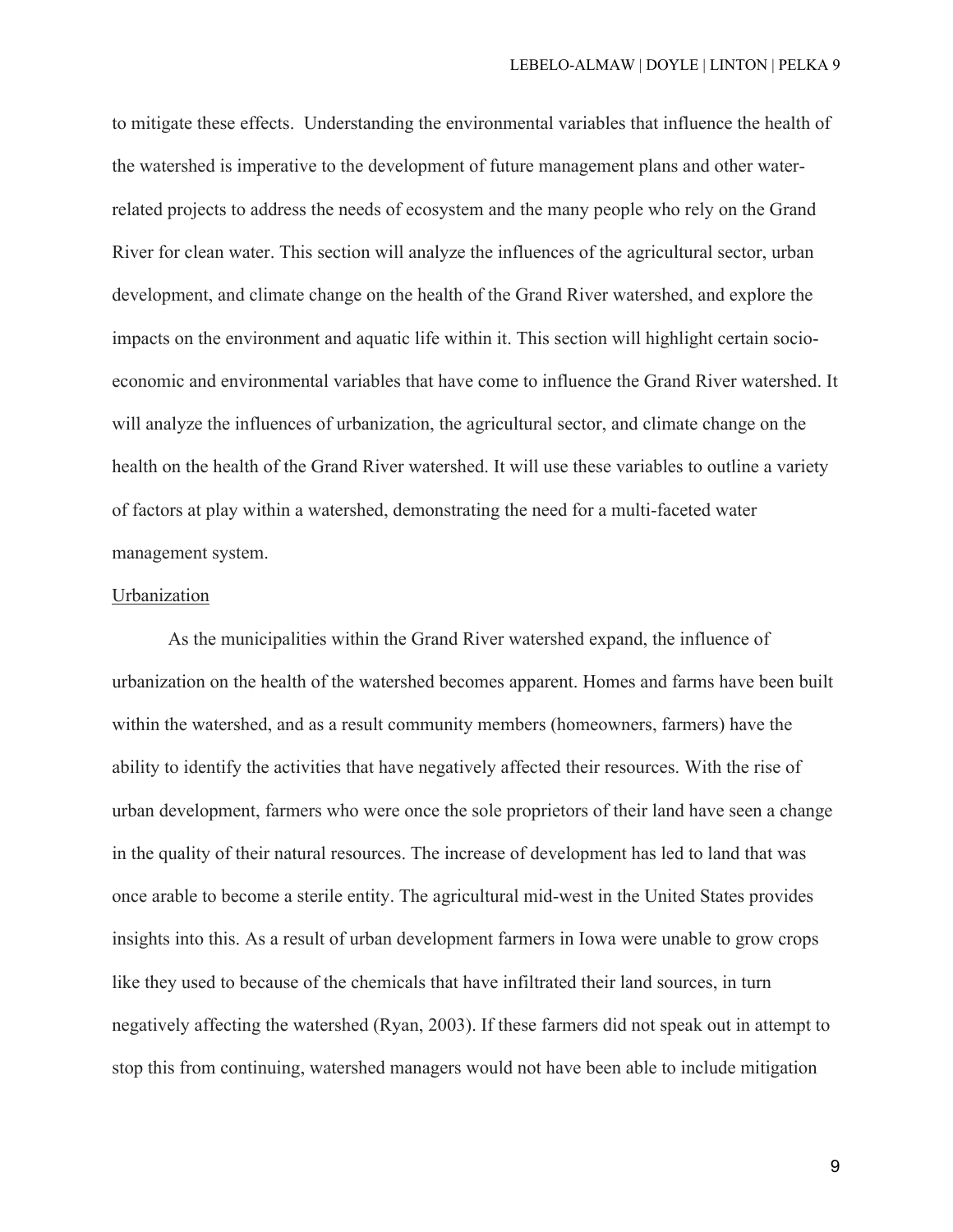to mitigate these effects. Understanding the environmental variables that influence the health of the watershed is imperative to the development of future management plans and other waterrelated projects to address the needs of ecosystem and the many people who rely on the Grand River for clean water. This section will analyze the influences of the agricultural sector, urban development, and climate change on the health of the Grand River watershed, and explore the impacts on the environment and aquatic life within it. This section will highlight certain socioeconomic and environmental variables that have come to influence the Grand River watershed. It will analyze the influences of urbanization, the agricultural sector, and climate change on the health on the health of the Grand River watershed. It will use these variables to outline a variety of factors at play within a watershed, demonstrating the need for a multi-faceted water management system.

## Urbanization

As the municipalities within the Grand River watershed expand, the influence of urbanization on the health of the watershed becomes apparent. Homes and farms have been built within the watershed, and as a result community members (homeowners, farmers) have the ability to identify the activities that have negatively affected their resources. With the rise of urban development, farmers who were once the sole proprietors of their land have seen a change in the quality of their natural resources. The increase of development has led to land that was once arable to become a sterile entity. The agricultural mid-west in the United States provides insights into this. As a result of urban development farmers in Iowa were unable to grow crops like they used to because of the chemicals that have infiltrated their land sources, in turn negatively affecting the watershed (Ryan, 2003). If these farmers did not speak out in attempt to stop this from continuing, watershed managers would not have been able to include mitigation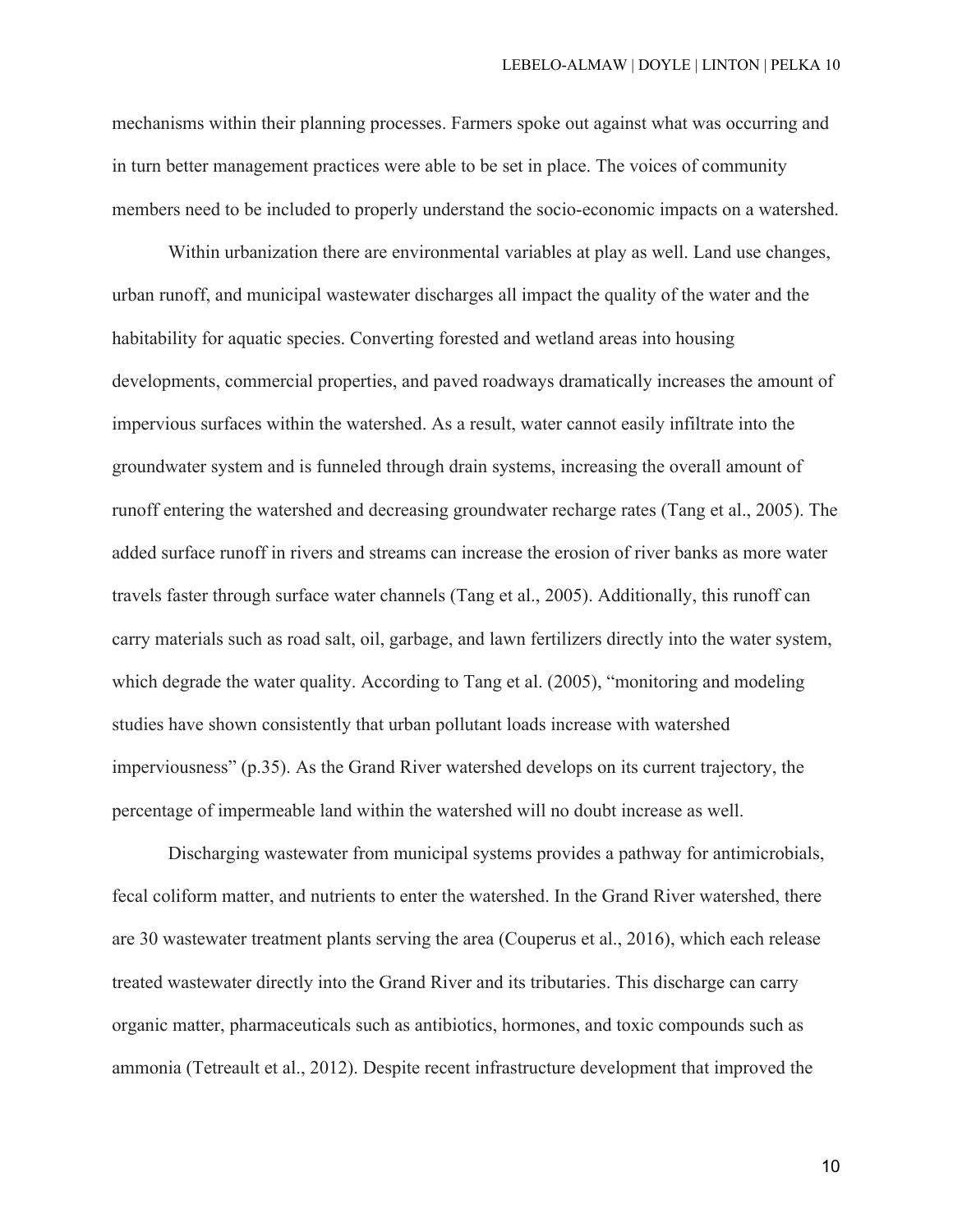mechanisms within their planning processes. Farmers spoke out against what was occurring and in turn better management practices were able to be set in place. The voices of community members need to be included to properly understand the socio-economic impacts on a watershed.

Within urbanization there are environmental variables at play as well. Land use changes, urban runoff, and municipal wastewater discharges all impact the quality of the water and the habitability for aquatic species. Converting forested and wetland areas into housing developments, commercial properties, and paved roadways dramatically increases the amount of impervious surfaces within the watershed. As a result, water cannot easily infiltrate into the groundwater system and is funneled through drain systems, increasing the overall amount of runoff entering the watershed and decreasing groundwater recharge rates (Tang et al., 2005). The added surface runoff in rivers and streams can increase the erosion of river banks as more water travels faster through surface water channels (Tang et al., 2005). Additionally, this runoff can carry materials such as road salt, oil, garbage, and lawn fertilizers directly into the water system, which degrade the water quality. According to Tang et al. (2005), "monitoring and modeling studies have shown consistently that urban pollutant loads increase with watershed imperviousness" (p.35). As the Grand River watershed develops on its current trajectory, the percentage of impermeable land within the watershed will no doubt increase as well.

Discharging wastewater from municipal systems provides a pathway for antimicrobials, fecal coliform matter, and nutrients to enter the watershed. In the Grand River watershed, there are 30 wastewater treatment plants serving the area (Couperus et al., 2016), which each release treated wastewater directly into the Grand River and its tributaries. This discharge can carry organic matter, pharmaceuticals such as antibiotics, hormones, and toxic compounds such as ammonia (Tetreault et al., 2012). Despite recent infrastructure development that improved the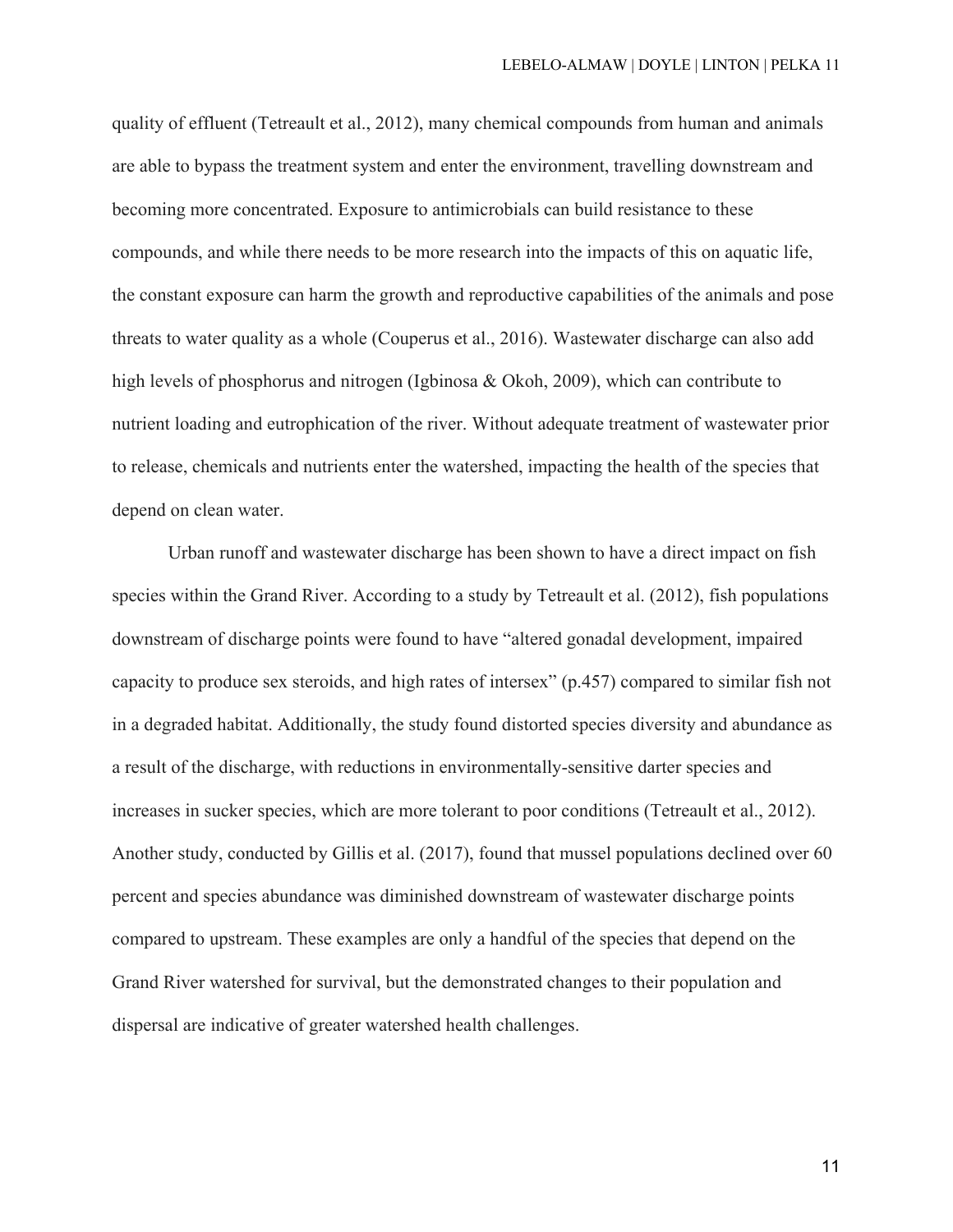quality of effluent (Tetreault et al., 2012), many chemical compounds from human and animals are able to bypass the treatment system and enter the environment, travelling downstream and becoming more concentrated. Exposure to antimicrobials can build resistance to these compounds, and while there needs to be more research into the impacts of this on aquatic life, the constant exposure can harm the growth and reproductive capabilities of the animals and pose threats to water quality as a whole (Couperus et al., 2016). Wastewater discharge can also add high levels of phosphorus and nitrogen (Igbinosa & Okoh, 2009), which can contribute to nutrient loading and eutrophication of the river. Without adequate treatment of wastewater prior to release, chemicals and nutrients enter the watershed, impacting the health of the species that depend on clean water.

Urban runoff and wastewater discharge has been shown to have a direct impact on fish species within the Grand River. According to a study by Tetreault et al. (2012), fish populations downstream of discharge points were found to have "altered gonadal development, impaired capacity to produce sex steroids, and high rates of intersex" (p.457) compared to similar fish not in a degraded habitat. Additionally, the study found distorted species diversity and abundance as a result of the discharge, with reductions in environmentally-sensitive darter species and increases in sucker species, which are more tolerant to poor conditions (Tetreault et al., 2012). Another study, conducted by Gillis et al. (2017), found that mussel populations declined over 60 percent and species abundance was diminished downstream of wastewater discharge points compared to upstream. These examples are only a handful of the species that depend on the Grand River watershed for survival, but the demonstrated changes to their population and dispersal are indicative of greater watershed health challenges.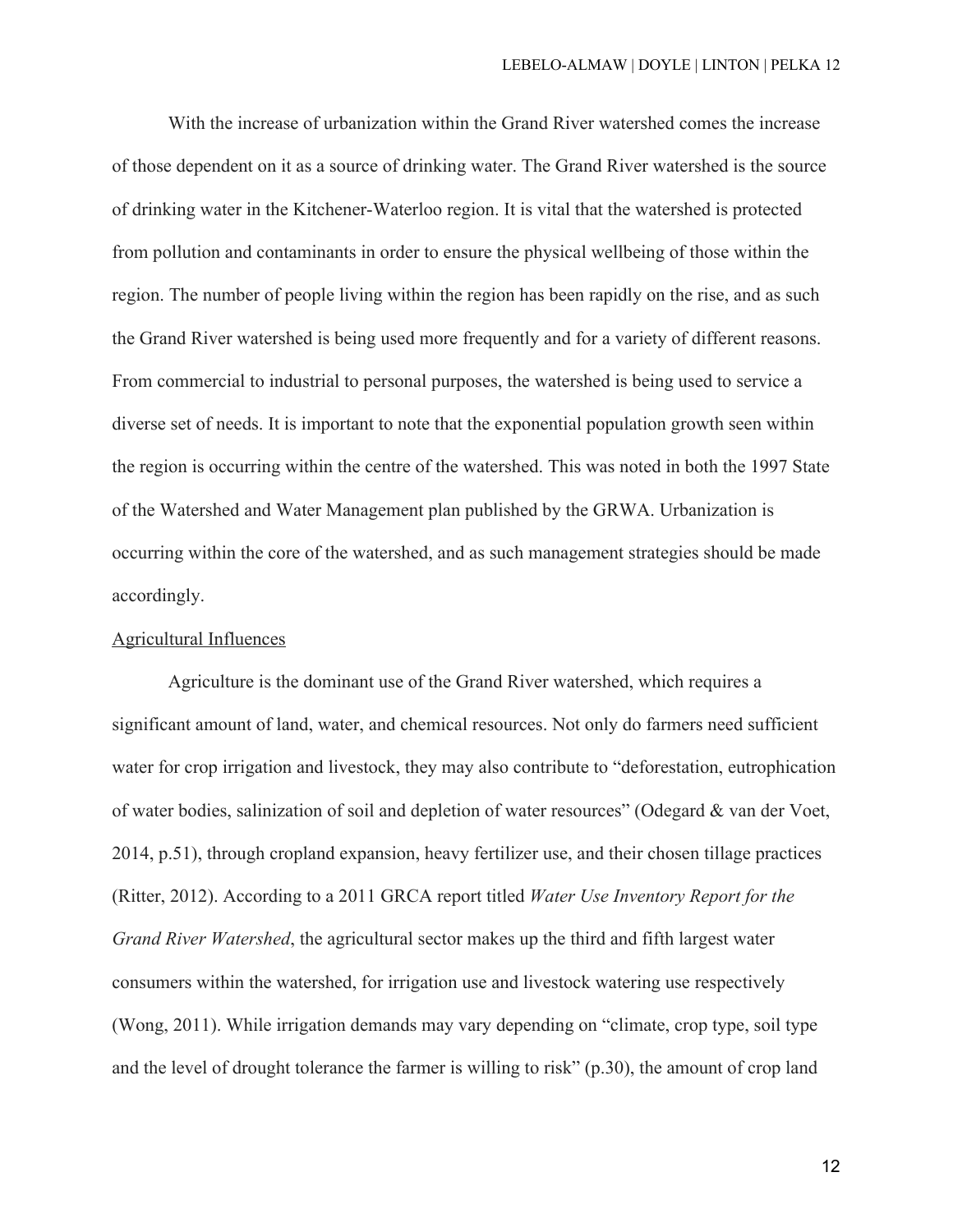With the increase of urbanization within the Grand River watershed comes the increase of those dependent on it as a source of drinking water. The Grand River watershed is the source of drinking water in the Kitchener-Waterloo region. It is vital that the watershed is protected from pollution and contaminants in order to ensure the physical wellbeing of those within the region. The number of people living within the region has been rapidly on the rise, and as such the Grand River watershed is being used more frequently and for a variety of different reasons. From commercial to industrial to personal purposes, the watershed is being used to service a diverse set of needs. It is important to note that the exponential population growth seen within the region is occurring within the centre of the watershed. This was noted in both the 1997 State of the Watershed and Water Management plan published by the GRWA. Urbanization is occurring within the core of the watershed, and as such management strategies should be made accordingly.

## Agricultural Influences

Agriculture is the dominant use of the Grand River watershed, which requires a significant amount of land, water, and chemical resources. Not only do farmers need sufficient water for crop irrigation and livestock, they may also contribute to "deforestation, eutrophication of water bodies, salinization of soil and depletion of water resources" (Odegard & van der Voet, 2014, p.51), through cropland expansion, heavy fertilizer use, and their chosen tillage practices (Ritter, 2012). According to a 2011 GRCA report titled *Water Use Inventory Report for the Grand River Watershed*, the agricultural sector makes up the third and fifth largest water consumers within the watershed, for irrigation use and livestock watering use respectively (Wong, 2011). While irrigation demands may vary depending on "climate, crop type, soil type and the level of drought tolerance the farmer is willing to risk" (p.30), the amount of crop land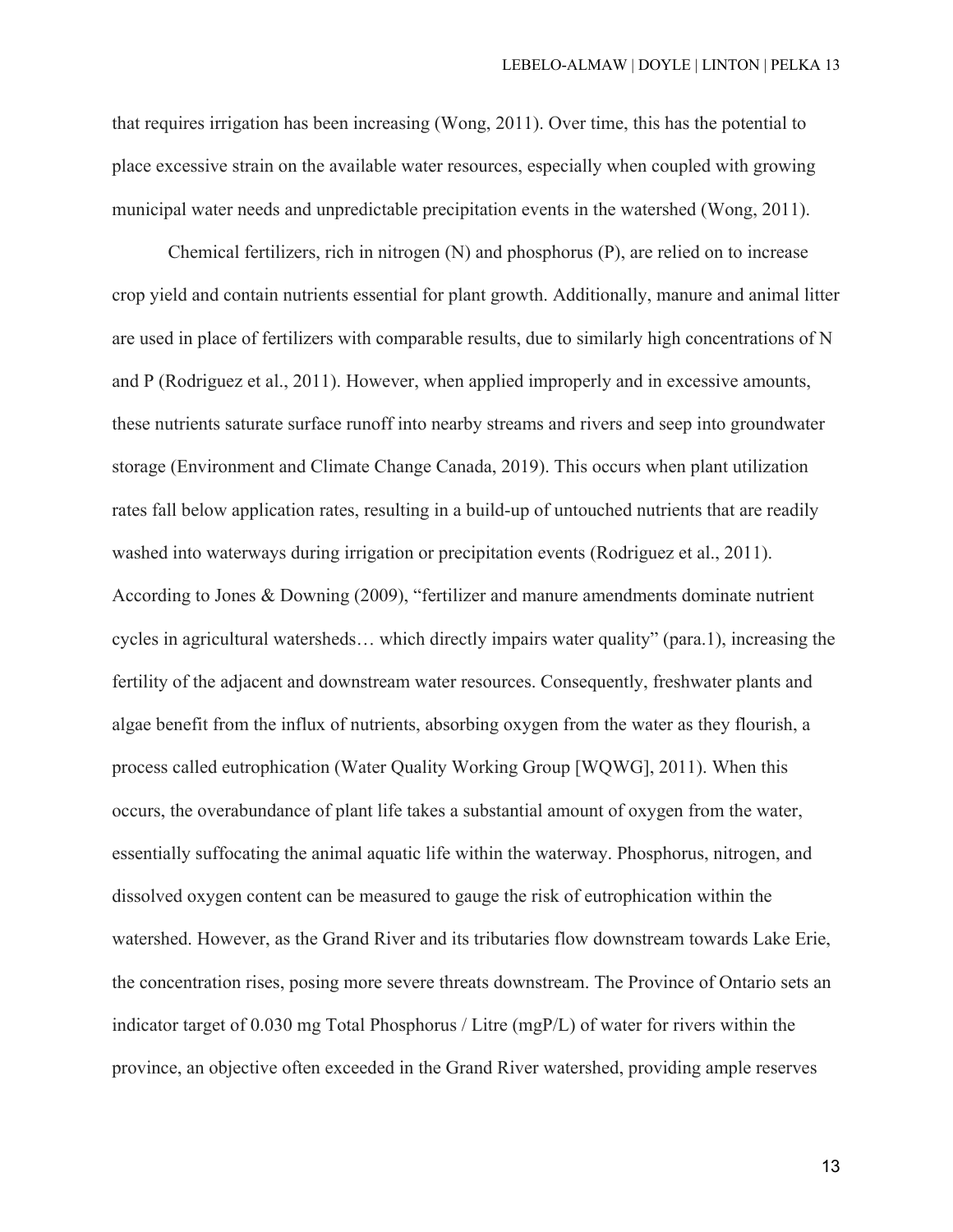that requires irrigation has been increasing (Wong, 2011). Over time, this has the potential to place excessive strain on the available water resources, especially when coupled with growing municipal water needs and unpredictable precipitation events in the watershed (Wong, 2011).

Chemical fertilizers, rich in nitrogen (N) and phosphorus (P), are relied on to increase crop yield and contain nutrients essential for plant growth. Additionally, manure and animal litter are used in place of fertilizers with comparable results, due to similarly high concentrations of N and P (Rodriguez et al., 2011). However, when applied improperly and in excessive amounts, these nutrients saturate surface runoff into nearby streams and rivers and seep into groundwater storage (Environment and Climate Change Canada, 2019). This occurs when plant utilization rates fall below application rates, resulting in a build-up of untouched nutrients that are readily washed into waterways during irrigation or precipitation events (Rodriguez et al., 2011). According to Jones & Downing (2009), "fertilizer and manure amendments dominate nutrient cycles in agricultural watersheds… which directly impairs water quality" (para.1), increasing the fertility of the adjacent and downstream water resources. Consequently, freshwater plants and algae benefit from the influx of nutrients, absorbing oxygen from the water as they flourish, a process called eutrophication (Water Quality Working Group [WQWG], 2011). When this occurs, the overabundance of plant life takes a substantial amount of oxygen from the water, essentially suffocating the animal aquatic life within the waterway. Phosphorus, nitrogen, and dissolved oxygen content can be measured to gauge the risk of eutrophication within the watershed. However, as the Grand River and its tributaries flow downstream towards Lake Erie, the concentration rises, posing more severe threats downstream. The Province of Ontario sets an indicator target of 0.030 mg Total Phosphorus / Litre (mgP/L) of water for rivers within the province, an objective often exceeded in the Grand River watershed, providing ample reserves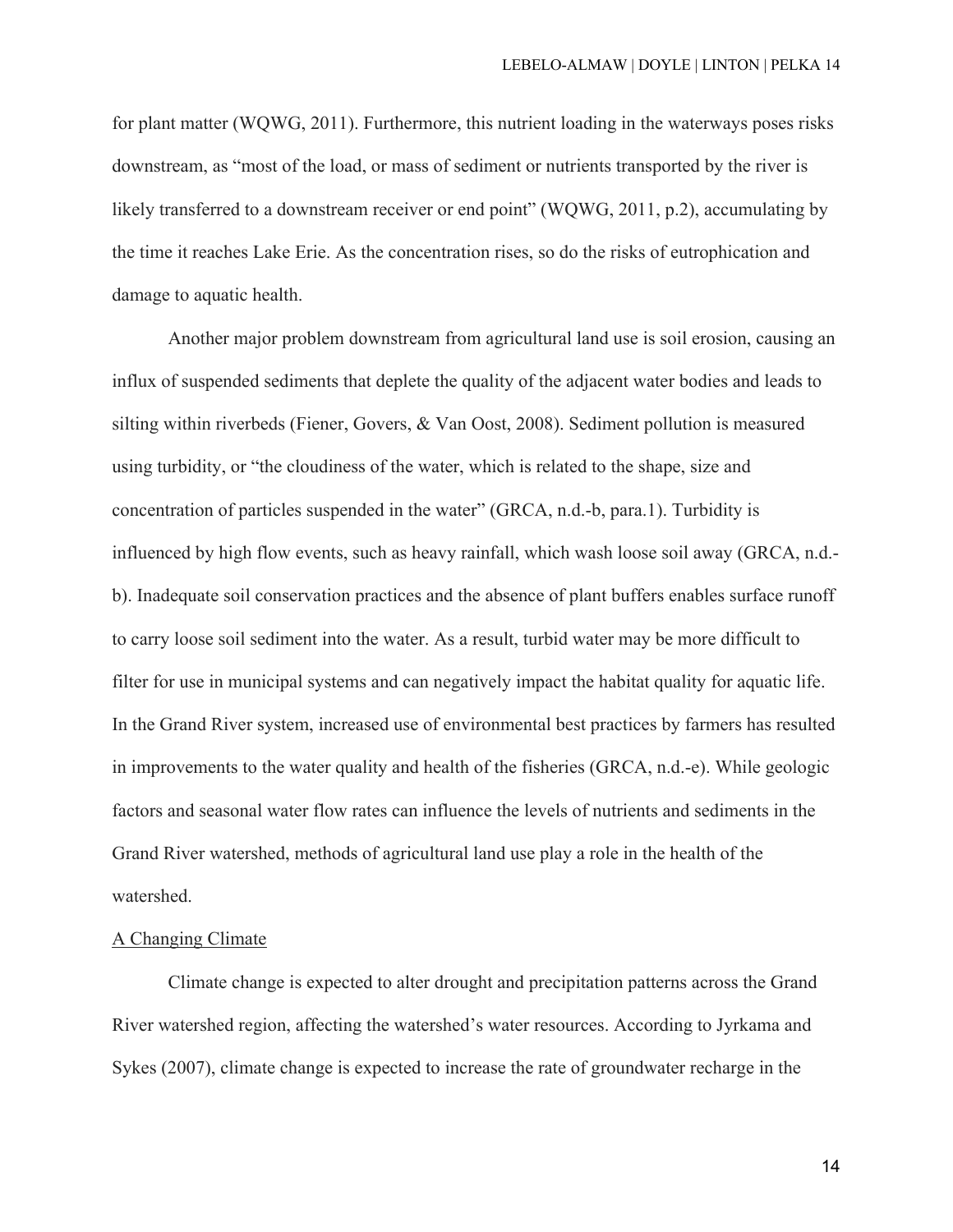for plant matter (WQWG, 2011). Furthermore, this nutrient loading in the waterways poses risks downstream, as "most of the load, or mass of sediment or nutrients transported by the river is likely transferred to a downstream receiver or end point" (WOWG, 2011, p.2), accumulating by the time it reaches Lake Erie. As the concentration rises, so do the risks of eutrophication and damage to aquatic health.

Another major problem downstream from agricultural land use is soil erosion, causing an influx of suspended sediments that deplete the quality of the adjacent water bodies and leads to silting within riverbeds (Fiener, Govers, & Van Oost, 2008). Sediment pollution is measured using turbidity, or "the cloudiness of the water, which is related to the shape, size and concentration of particles suspended in the water" (GRCA, n.d.-b, para.1). Turbidity is influenced by high flow events, such as heavy rainfall, which wash loose soil away (GRCA, n.d. b). Inadequate soil conservation practices and the absence of plant buffers enables surface runoff to carry loose soil sediment into the water. As a result, turbid water may be more difficult to filter for use in municipal systems and can negatively impact the habitat quality for aquatic life. In the Grand River system, increased use of environmental best practices by farmers has resulted in improvements to the water quality and health of the fisheries (GRCA, n.d.-e). While geologic factors and seasonal water flow rates can influence the levels of nutrients and sediments in the Grand River watershed, methods of agricultural land use play a role in the health of the watershed.

## A Changing Climate

Climate change is expected to alter drought and precipitation patterns across the Grand River watershed region, affecting the watershed's water resources. According to Jyrkama and Sykes (2007), climate change is expected to increase the rate of groundwater recharge in the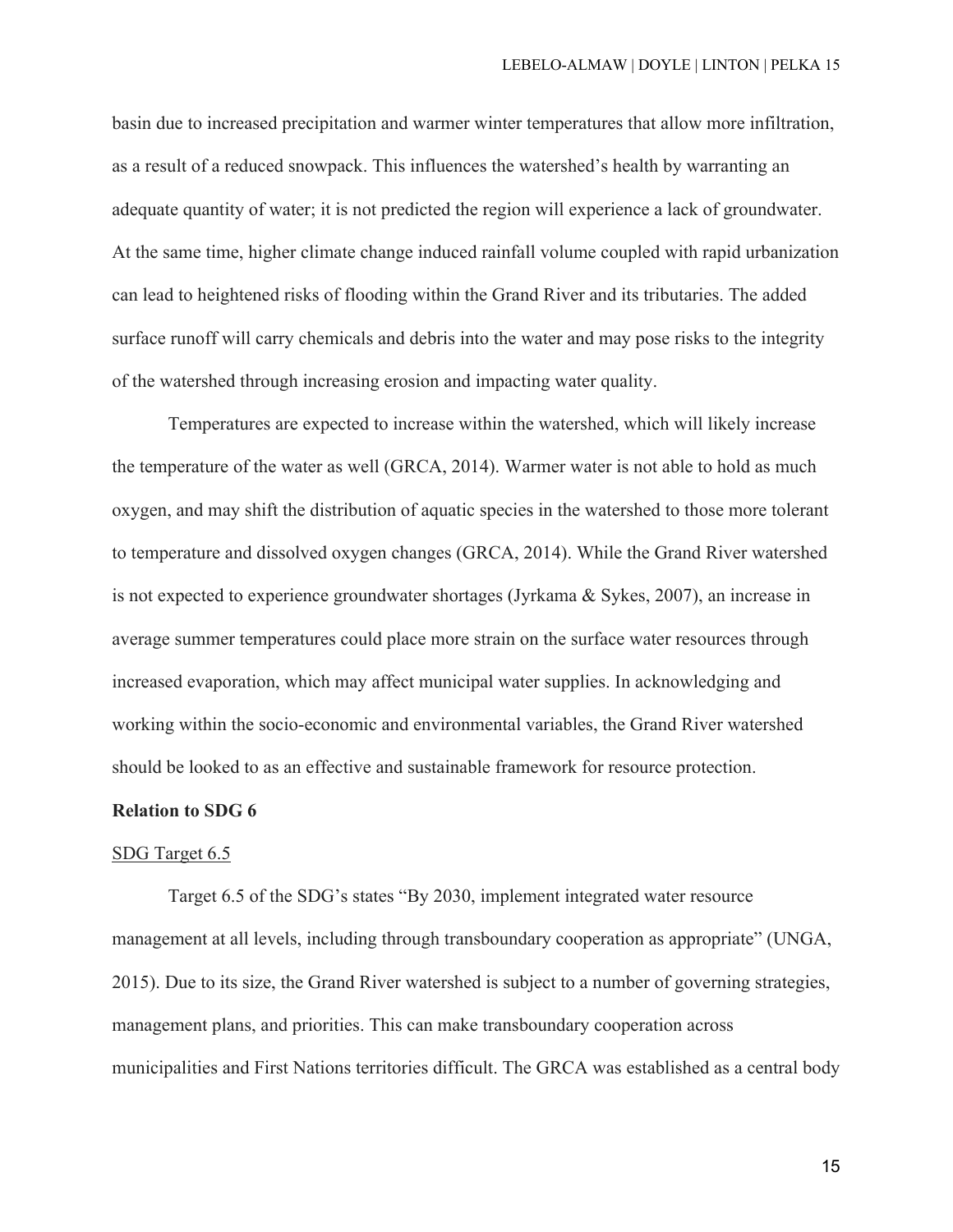basin due to increased precipitation and warmer winter temperatures that allow more infiltration, as a result of a reduced snowpack. This influences the watershed's health by warranting an adequate quantity of water; it is not predicted the region will experience a lack of groundwater. At the same time, higher climate change induced rainfall volume coupled with rapid urbanization can lead to heightened risks of flooding within the Grand River and its tributaries. The added surface runoff will carry chemicals and debris into the water and may pose risks to the integrity of the watershed through increasing erosion and impacting water quality.

Temperatures are expected to increase within the watershed, which will likely increase the temperature of the water as well (GRCA, 2014). Warmer water is not able to hold as much oxygen, and may shift the distribution of aquatic species in the watershed to those more tolerant to temperature and dissolved oxygen changes (GRCA, 2014). While the Grand River watershed is not expected to experience groundwater shortages (Jyrkama & Sykes, 2007), an increase in average summer temperatures could place more strain on the surface water resources through increased evaporation, which may affect municipal water supplies. In acknowledging and working within the socio-economic and environmental variables, the Grand River watershed should be looked to as an effective and sustainable framework for resource protection.

#### **Relation to SDG 6**

#### SDG Target 6.5

Target 6.5 of the SDG's states "By 2030, implement integrated water resource management at all levels, including through transboundary cooperation as appropriate" (UNGA, 2015). Due to its size, the Grand River watershed is subject to a number of governing strategies, management plans, and priorities. This can make transboundary cooperation across municipalities and First Nations territories difficult. The GRCA was established as a central body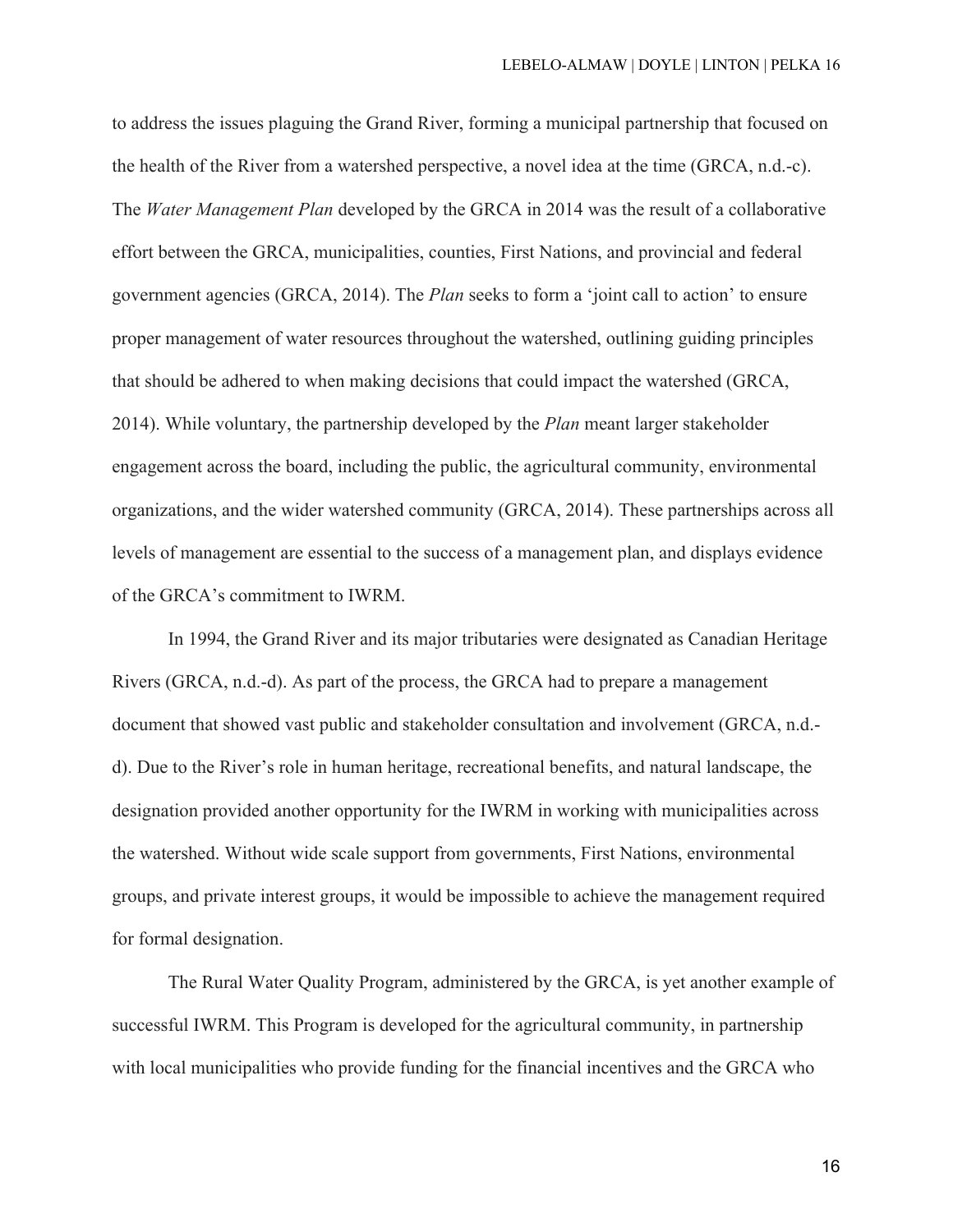to address the issues plaguing the Grand River, forming a municipal partnership that focused on the health of the River from a watershed perspective, a novel idea at the time (GRCA, n.d.-c). The *Water Management Plan* developed by the GRCA in 2014 was the result of a collaborative effort between the GRCA, municipalities, counties, First Nations, and provincial and federal government agencies (GRCA, 2014). The *Plan* seeks to form a 'joint call to action' to ensure proper management of water resources throughout the watershed, outlining guiding principles that should be adhered to when making decisions that could impact the watershed (GRCA, 2014). While voluntary, the partnership developed by the *Plan* meant larger stakeholder engagement across the board, including the public, the agricultural community, environmental organizations, and the wider watershed community (GRCA, 2014). These partnerships across all levels of management are essential to the success of a management plan, and displays evidence of the GRCA's commitment to IWRM.

In 1994, the Grand River and its major tributaries were designated as Canadian Heritage Rivers (GRCA, n.d.-d). As part of the process, the GRCA had to prepare a management document that showed vast public and stakeholder consultation and involvement (GRCA, n.d. d). Due to the River's role in human heritage, recreational benefits, and natural landscape, the designation provided another opportunity for the IWRM in working with municipalities across the watershed. Without wide scale support from governments, First Nations, environmental groups, and private interest groups, it would be impossible to achieve the management required for formal designation.

The Rural Water Quality Program, administered by the GRCA, is yet another example of successful IWRM. This Program is developed for the agricultural community, in partnership with local municipalities who provide funding for the financial incentives and the GRCA who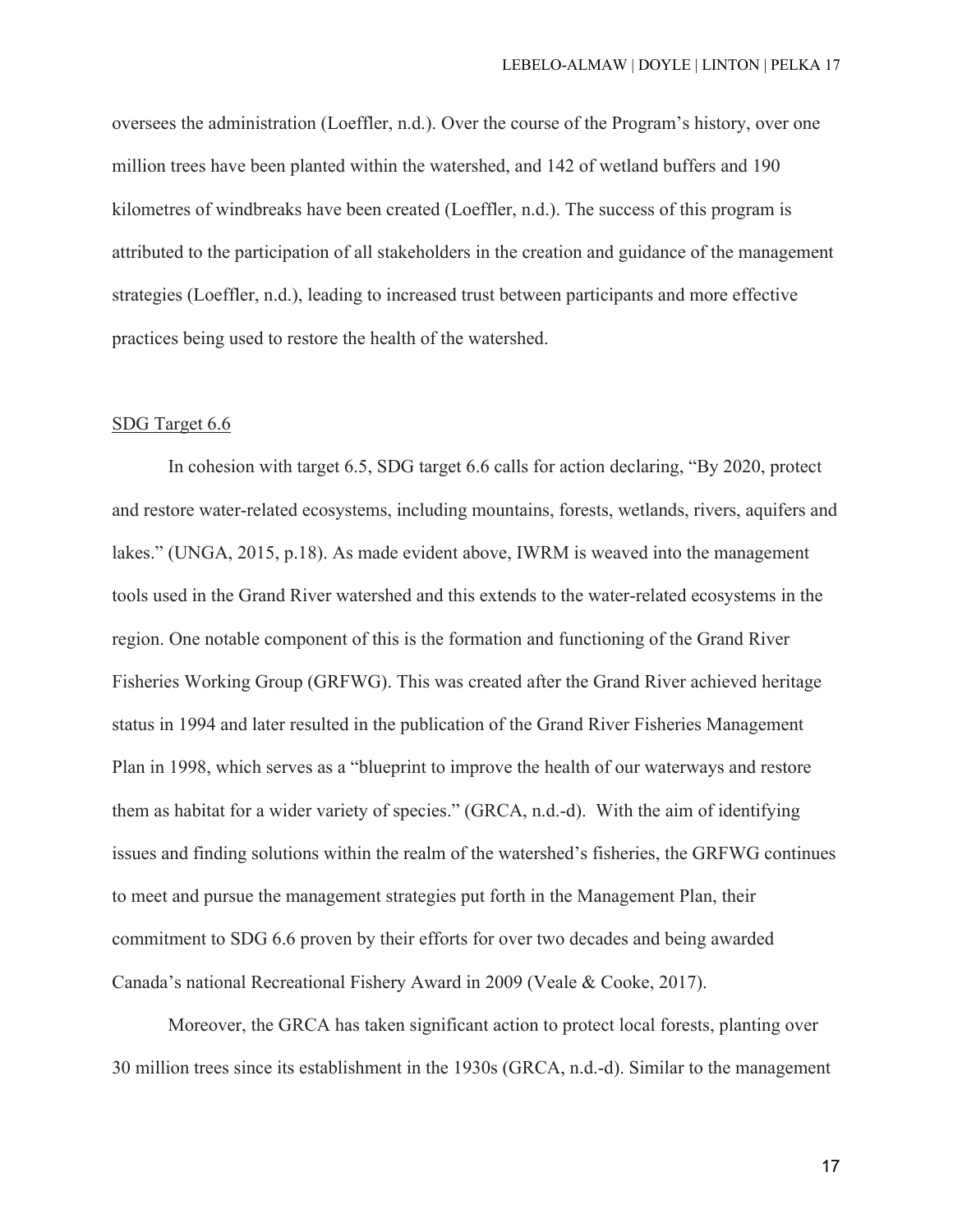oversees the administration (Loeffler, n.d.). Over the course of the Program's history, over one million trees have been planted within the watershed, and 142 of wetland buffers and 190 kilometres of windbreaks have been created (Loeffler, n.d.). The success of this program is attributed to the participation of all stakeholders in the creation and guidance of the management strategies (Loeffler, n.d.), leading to increased trust between participants and more effective practices being used to restore the health of the watershed.

## SDG Target 6.6

In cohesion with target 6.5, SDG target 6.6 calls for action declaring, "By 2020, protect and restore water-related ecosystems, including mountains, forests, wetlands, rivers, aquifers and lakes." (UNGA, 2015, p.18). As made evident above, IWRM is weaved into the management tools used in the Grand River watershed and this extends to the water-related ecosystems in the region. One notable component of this is the formation and functioning of the Grand River Fisheries Working Group (GRFWG). This was created after the Grand River achieved heritage status in 1994 and later resulted in the publication of the Grand River Fisheries Management Plan in 1998, which serves as a "blueprint to improve the health of our waterways and restore them as habitat for a wider variety of species." (GRCA, n.d.-d). With the aim of identifying issues and finding solutions within the realm of the watershed's fisheries, the GRFWG continues to meet and pursue the management strategies put forth in the Management Plan, their commitment to SDG 6.6 proven by their efforts for over two decades and being awarded Canada's national Recreational Fishery Award in 2009 (Veale & Cooke, 2017).

Moreover, the GRCA has taken significant action to protect local forests, planting over 30 million trees since its establishment in the 1930s (GRCA, n.d.-d). Similar to the management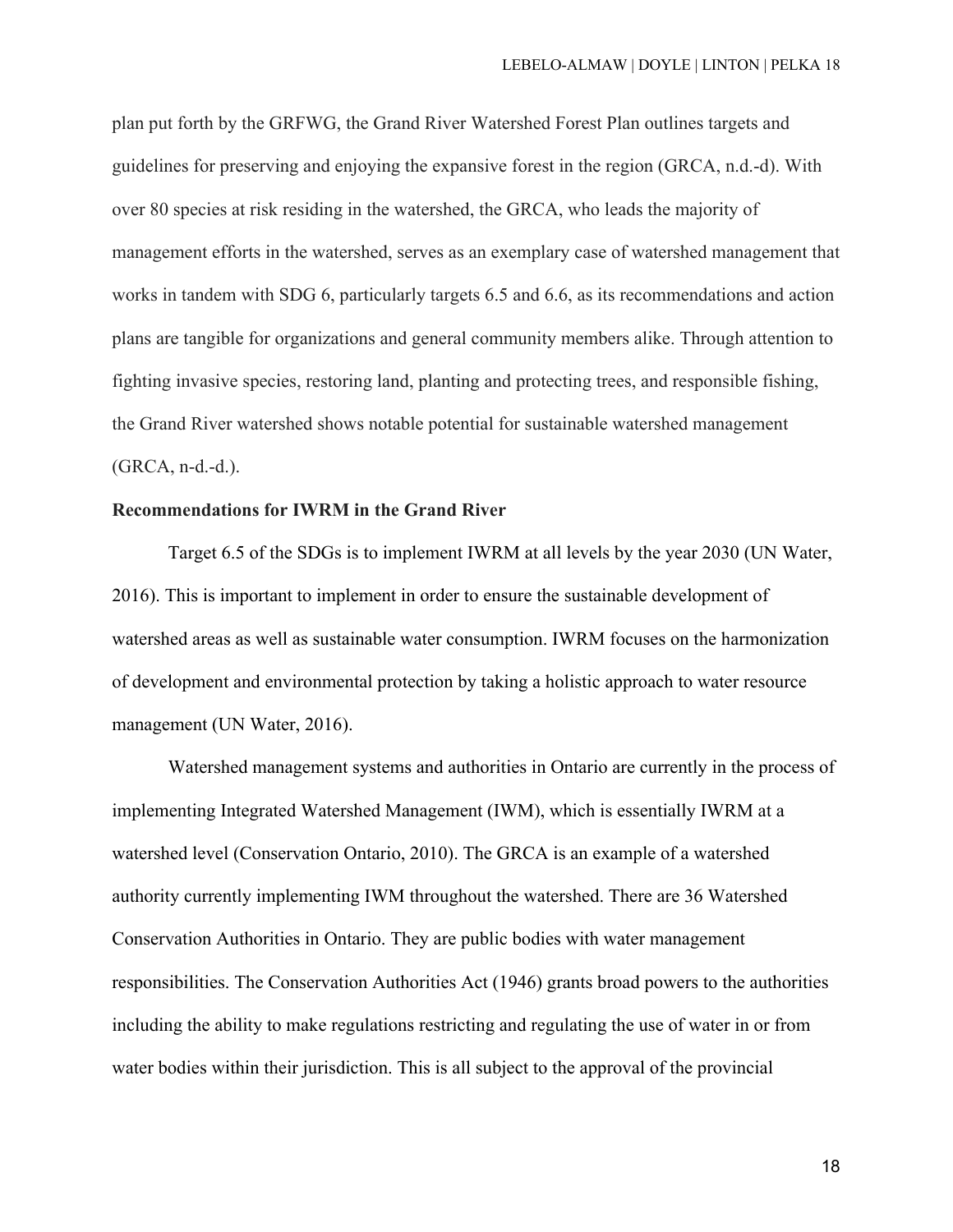plan put forth by the GRFWG, the Grand River Watershed Forest Plan outlines targets and guidelines for preserving and enjoying the expansive forest in the region (GRCA, n.d.-d). With over 80 species at risk residing in the watershed, the GRCA, who leads the majority of management efforts in the watershed, serves as an exemplary case of watershed management that works in tandem with SDG 6, particularly targets 6.5 and 6.6, as its recommendations and action plans are tangible for organizations and general community members alike. Through attention to fighting invasive species, restoring land, planting and protecting trees, and responsible fishing, the Grand River watershed shows notable potential for sustainable watershed management (GRCA, n-d.-d.).

## **Recommendations for IWRM in the Grand River**

Target 6.5 of the SDGs is to implement IWRM at all levels by the year 2030 (UN Water, 2016). This is important to implement in order to ensure the sustainable development of watershed areas as well as sustainable water consumption. IWRM focuses on the harmonization of development and environmental protection by taking a holistic approach to water resource management (UN Water, 2016).

Watershed management systems and authorities in Ontario are currently in the process of implementing Integrated Watershed Management (IWM), which is essentially IWRM at a watershed level (Conservation Ontario, 2010). The GRCA is an example of a watershed authority currently implementing IWM throughout the watershed. There are 36 Watershed Conservation Authorities in Ontario. They are public bodies with water management responsibilities. The Conservation Authorities Act (1946) grants broad powers to the authorities including the ability to make regulations restricting and regulating the use of water in or from water bodies within their jurisdiction. This is all subject to the approval of the provincial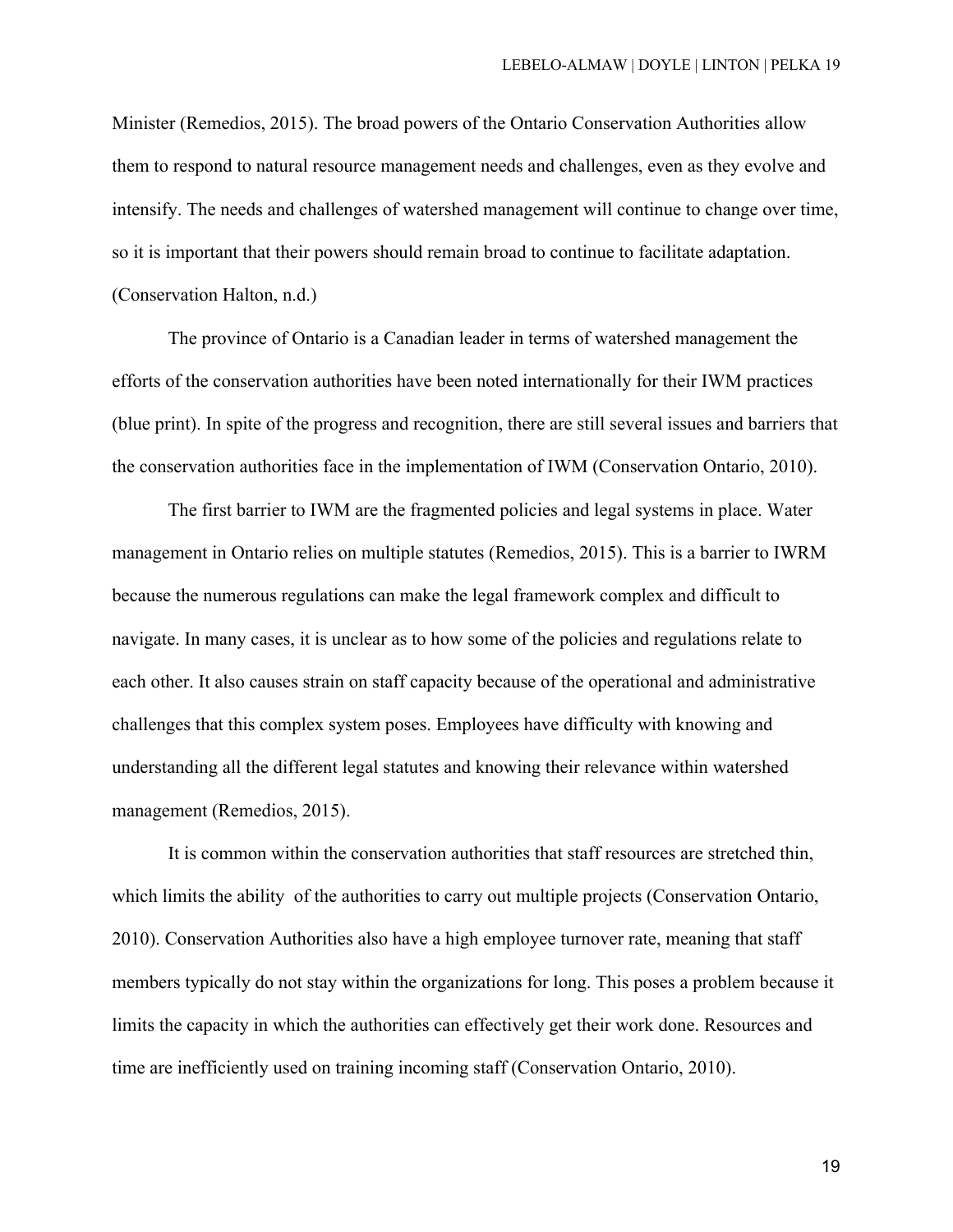Minister (Remedios, 2015). The broad powers of the Ontario Conservation Authorities allow them to respond to natural resource management needs and challenges, even as they evolve and intensify. The needs and challenges of watershed management will continue to change over time, so it is important that their powers should remain broad to continue to facilitate adaptation. (Conservation Halton, n.d.)

The province of Ontario is a Canadian leader in terms of watershed management the efforts of the conservation authorities have been noted internationally for their IWM practices (blue print). In spite of the progress and recognition, there are still several issues and barriers that the conservation authorities face in the implementation of IWM (Conservation Ontario, 2010).

The first barrier to IWM are the fragmented policies and legal systems in place. Water management in Ontario relies on multiple statutes (Remedios, 2015). This is a barrier to IWRM because the numerous regulations can make the legal framework complex and difficult to navigate. In many cases, it is unclear as to how some of the policies and regulations relate to each other. It also causes strain on staff capacity because of the operational and administrative challenges that this complex system poses. Employees have difficulty with knowing and understanding all the different legal statutes and knowing their relevance within watershed management (Remedios, 2015).

It is common within the conservation authorities that staff resources are stretched thin, which limits the ability of the authorities to carry out multiple projects (Conservation Ontario, 2010). Conservation Authorities also have a high employee turnover rate, meaning that staff members typically do not stay within the organizations for long. This poses a problem because it limits the capacity in which the authorities can effectively get their work done. Resources and time are inefficiently used on training incoming staff (Conservation Ontario, 2010).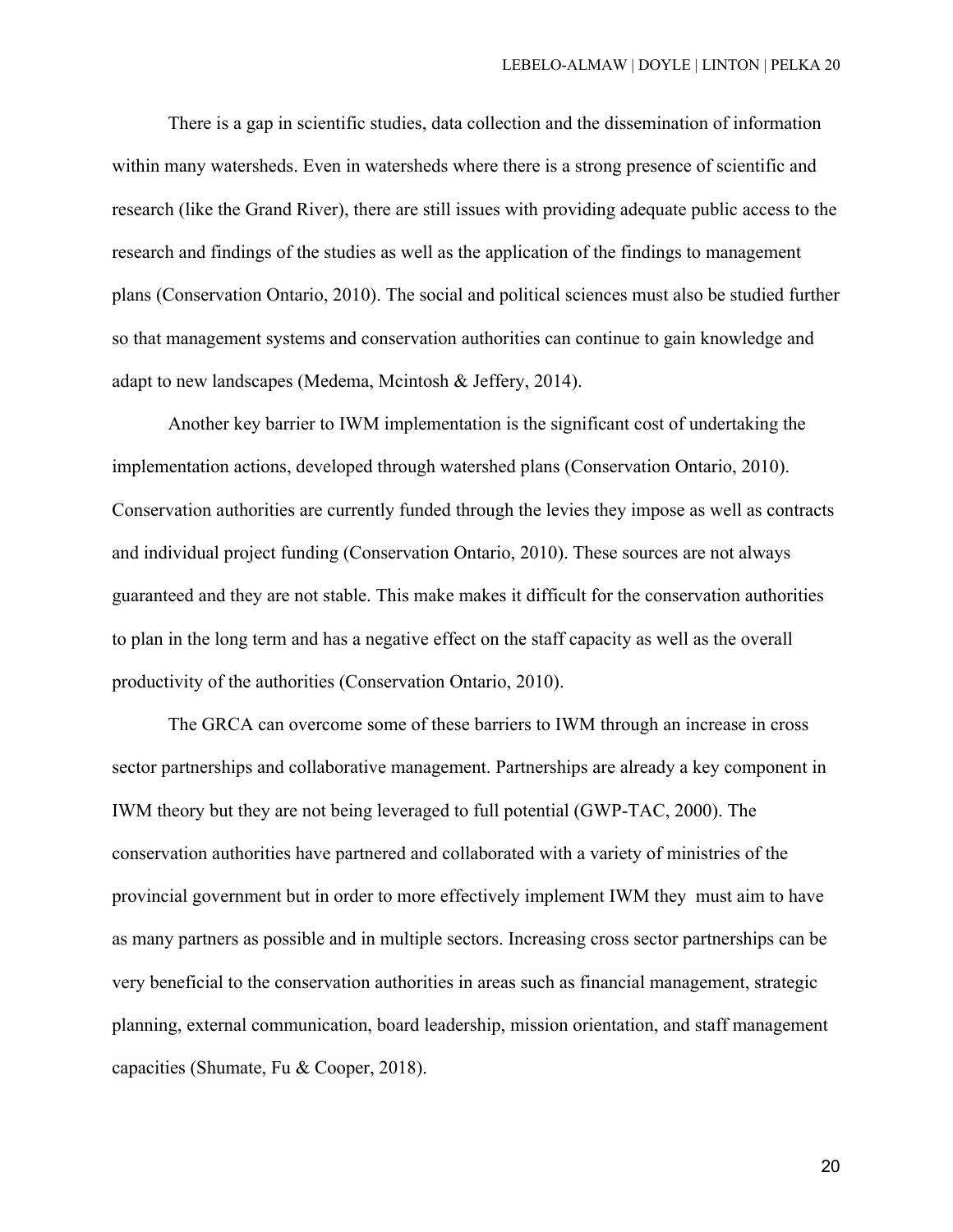There is a gap in scientific studies, data collection and the dissemination of information within many watersheds. Even in watersheds where there is a strong presence of scientific and research (like the Grand River), there are still issues with providing adequate public access to the research and findings of the studies as well as the application of the findings to management plans (Conservation Ontario, 2010). The social and political sciences must also be studied further so that management systems and conservation authorities can continue to gain knowledge and adapt to new landscapes (Medema, Mcintosh & Jeffery, 2014).

Another key barrier to IWM implementation is the significant cost of undertaking the implementation actions, developed through watershed plans (Conservation Ontario, 2010). Conservation authorities are currently funded through the levies they impose as well as contracts and individual project funding (Conservation Ontario, 2010). These sources are not always guaranteed and they are not stable. This make makes it difficult for the conservation authorities to plan in the long term and has a negative effect on the staff capacity as well as the overall productivity of the authorities (Conservation Ontario, 2010).

The GRCA can overcome some of these barriers to IWM through an increase in cross sector partnerships and collaborative management. Partnerships are already a key component in IWM theory but they are not being leveraged to full potential (GWP-TAC, 2000). The conservation authorities have partnered and collaborated with a variety of ministries of the provincial government but in order to more effectively implement IWM they must aim to have as many partners as possible and in multiple sectors. Increasing cross sector partnerships can be very beneficial to the conservation authorities in areas such as financial management, strategic planning, external communication, board leadership, mission orientation, and staff management capacities (Shumate, Fu & Cooper, 2018).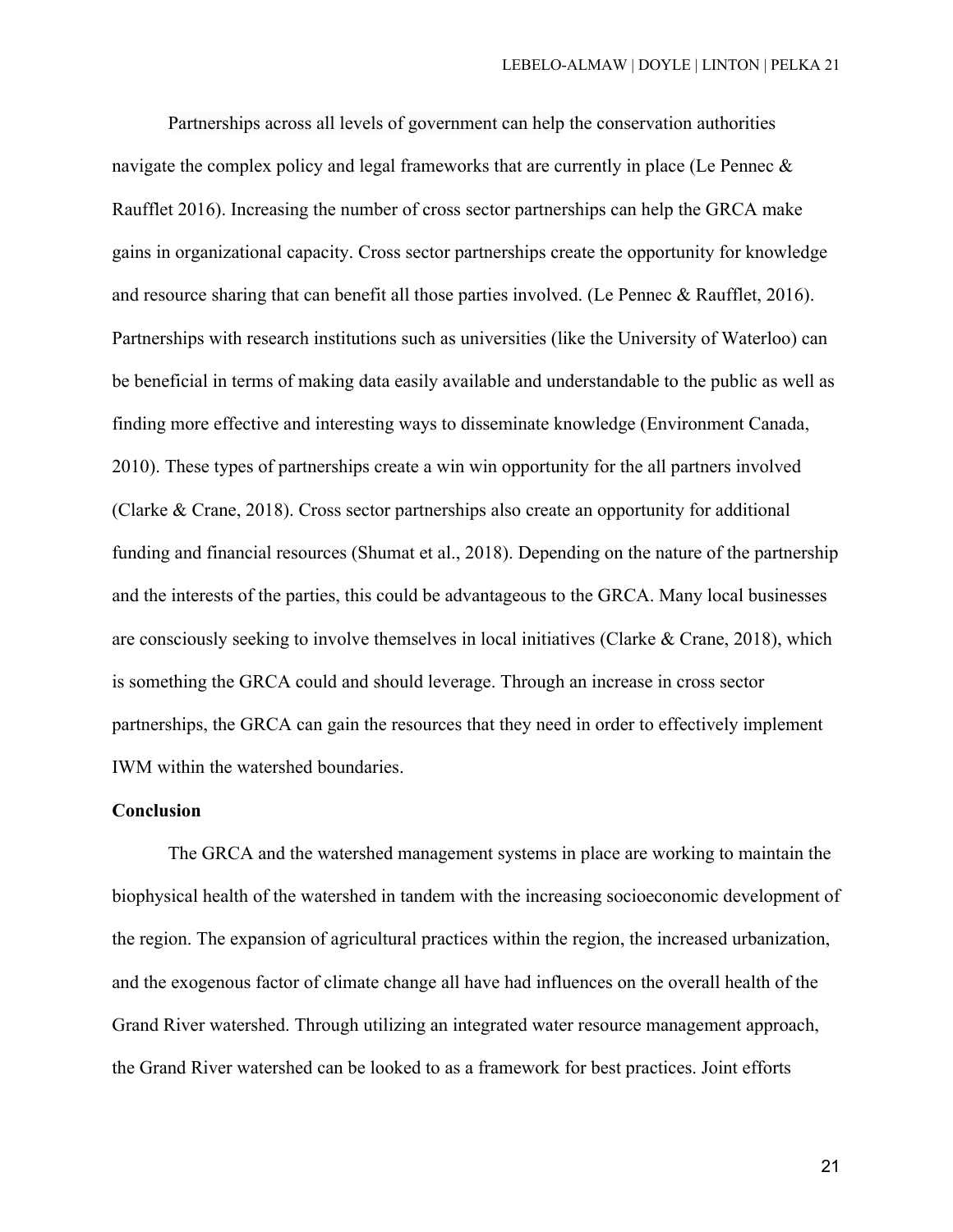Partnerships across all levels of government can help the conservation authorities navigate the complex policy and legal frameworks that are currently in place (Le Pennec & Raufflet 2016). Increasing the number of cross sector partnerships can help the GRCA make gains in organizational capacity. Cross sector partnerships create the opportunity for knowledge and resource sharing that can benefit all those parties involved. (Le Pennec & Raufflet, 2016). Partnerships with research institutions such as universities (like the University of Waterloo) can be beneficial in terms of making data easily available and understandable to the public as well as finding more effective and interesting ways to disseminate knowledge (Environment Canada, 2010). These types of partnerships create a win win opportunity for the all partners involved (Clarke & Crane, 2018). Cross sector partnerships also create an opportunity for additional funding and financial resources (Shumat et al., 2018). Depending on the nature of the partnership and the interests of the parties, this could be advantageous to the GRCA. Many local businesses are consciously seeking to involve themselves in local initiatives (Clarke & Crane, 2018), which is something the GRCA could and should leverage. Through an increase in cross sector partnerships, the GRCA can gain the resources that they need in order to effectively implement IWM within the watershed boundaries.

## **Conclusion**

The GRCA and the watershed management systems in place are working to maintain the biophysical health of the watershed in tandem with the increasing socioeconomic development of the region. The expansion of agricultural practices within the region, the increased urbanization, and the exogenous factor of climate change all have had influences on the overall health of the Grand River watershed. Through utilizing an integrated water resource management approach, the Grand River watershed can be looked to as a framework for best practices. Joint efforts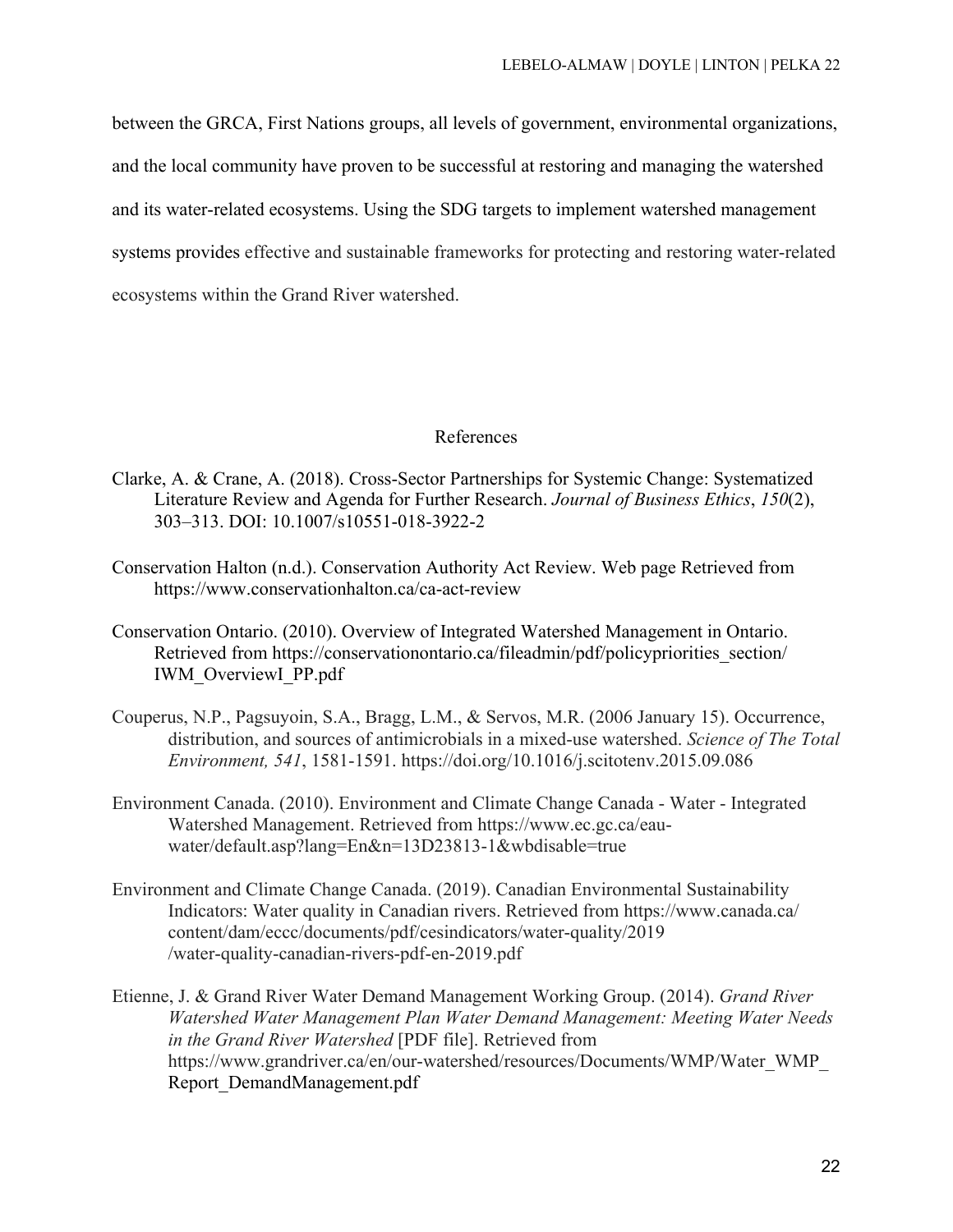between the GRCA, First Nations groups, all levels of government, environmental organizations, and the local community have proven to be successful at restoring and managing the watershed and its water-related ecosystems. Using the SDG targets to implement watershed management systems provides effective and sustainable frameworks for protecting and restoring water-related ecosystems within the Grand River watershed.

## References

- Clarke, A. & Crane, A. (2018). Cross-Sector Partnerships for Systemic Change: Systematized Literature Review and Agenda for Further Research. *Journal of Business Ethics*, *150*(2), 303–313. DOI: 10.1007/s10551-018-3922-2
- Conservation Halton (n.d.). Conservation Authority Act Review. Web page Retrieved from https://www.conservationhalton.ca/ca-act-review
- Conservation Ontario. (2010). Overview of Integrated Watershed Management in Ontario. Retrieved from https://conservationontario.ca/fileadmin/pdf/policypriorities\_section/ IWM\_OverviewI\_PP.pdf
- Couperus, N.P., Pagsuyoin, S.A., Bragg, L.M., & Servos, M.R. (2006 January 15). Occurrence, distribution, and sources of antimicrobials in a mixed-use watershed. *Science of The Total Environment, 541*, 1581-1591. https://doi.org/10.1016/j.scitotenv.2015.09.086
- Environment Canada. (2010). Environment and Climate Change Canada Water Integrated Watershed Management. Retrieved from https://www.ec.gc.ca/eauwater/default.asp?lang=En&n=13D23813-1&wbdisable=true
- Environment and Climate Change Canada. (2019). Canadian Environmental Sustainability Indicators: Water quality in Canadian rivers. Retrieved from https://www.canada.ca/ content/dam/eccc/documents/pdf/cesindicators/water-quality/2019 /water-quality-canadian-rivers-pdf-en-2019.pdf
- Etienne, J. & Grand River Water Demand Management Working Group. (2014). *Grand River Watershed Water Management Plan Water Demand Management: Meeting Water Needs in the Grand River Watershed* [PDF file]. Retrieved from https://www.grandriver.ca/en/our-watershed/resources/Documents/WMP/Water\_WMP\_ Report\_DemandManagement.pdf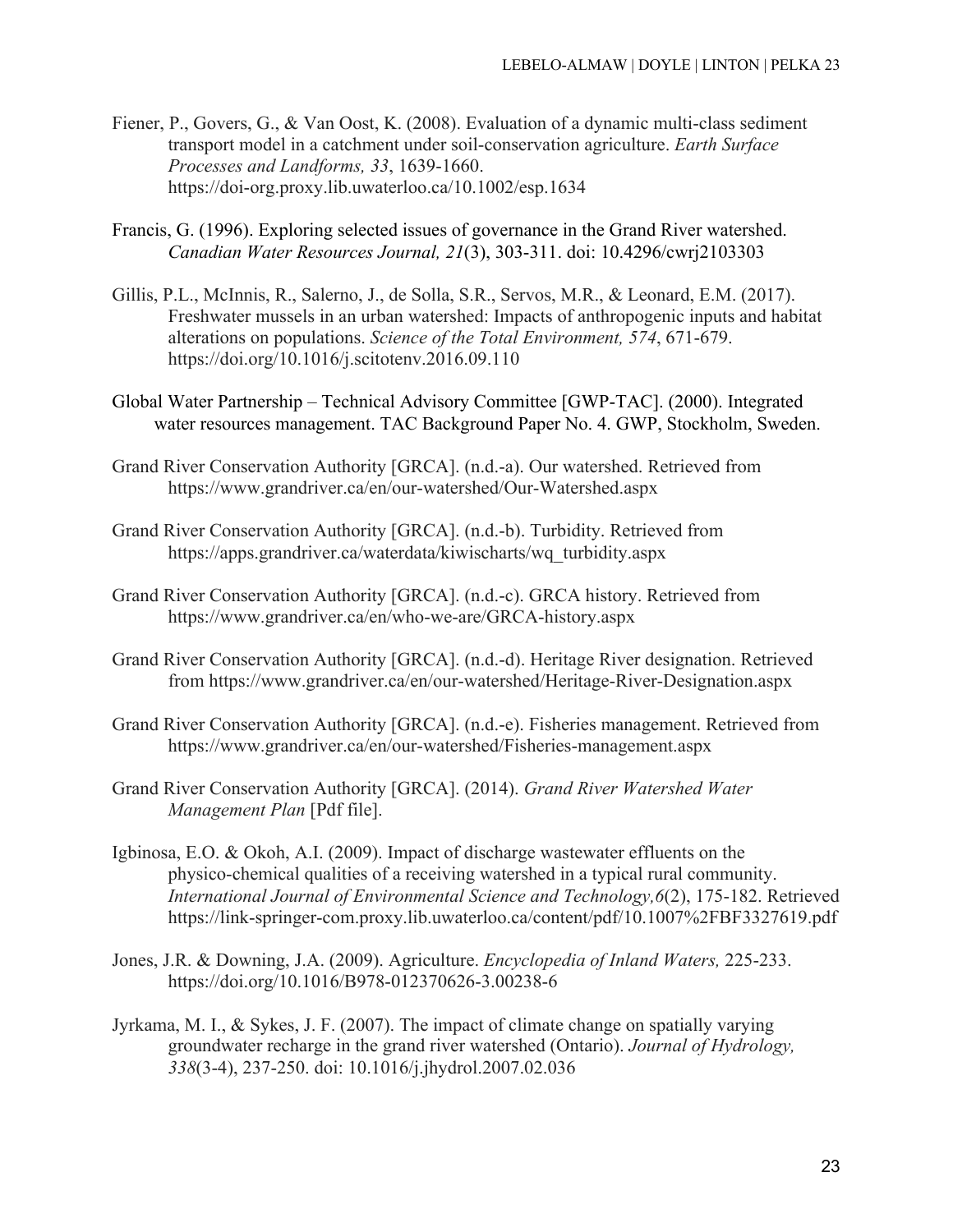- Fiener, P., Govers, G., & Van Oost, K. (2008). Evaluation of a dynamic multi-class sediment transport model in a catchment under soil-conservation agriculture. *Earth Surface Processes and Landforms, 33*, 1639-1660. https://doi-org.proxy.lib.uwaterloo.ca/10.1002/esp.1634
- Francis, G. (1996). Exploring selected issues of governance in the Grand River watershed. *Canadian Water Resources Journal, 21*(3), 303-311. doi: 10.4296/cwrj2103303
- Gillis, P.L., McInnis, R., Salerno, J., de Solla, S.R., Servos, M.R., & Leonard, E.M. (2017). Freshwater mussels in an urban watershed: Impacts of anthropogenic inputs and habitat alterations on populations. *Science of the Total Environment, 574*, 671-679. https://doi.org/10.1016/j.scitotenv.2016.09.110
- Global Water Partnership Technical Advisory Committee [GWP-TAC]. (2000). Integrated water resources management. TAC Background Paper No. 4. GWP, Stockholm, Sweden.
- Grand River Conservation Authority [GRCA]. (n.d.-a). Our watershed. Retrieved from https://www.grandriver.ca/en/our-watershed/Our-Watershed.aspx
- Grand River Conservation Authority [GRCA]. (n.d.-b). Turbidity. Retrieved from https://apps.grandriver.ca/waterdata/kiwischarts/wq\_turbidity.aspx
- Grand River Conservation Authority [GRCA]. (n.d.-c). GRCA history. Retrieved from https://www.grandriver.ca/en/who-we-are/GRCA-history.aspx
- Grand River Conservation Authority [GRCA]. (n.d.-d). Heritage River designation. Retrieved from https://www.grandriver.ca/en/our-watershed/Heritage-River-Designation.aspx
- Grand River Conservation Authority [GRCA]. (n.d.-e). Fisheries management. Retrieved from https://www.grandriver.ca/en/our-watershed/Fisheries-management.aspx
- Grand River Conservation Authority [GRCA]. (2014). *Grand River Watershed Water Management Plan* [Pdf file].
- Igbinosa, E.O. & Okoh, A.I. (2009). Impact of discharge wastewater effluents on the physico-chemical qualities of a receiving watershed in a typical rural community. *International Journal of Environmental Science and Technology,6*(2), 175-182. Retrieved https://link-springer-com.proxy.lib.uwaterloo.ca/content/pdf/10.1007%2FBF3327619.pdf
- Jones, J.R. & Downing, J.A. (2009). Agriculture. *Encyclopedia of Inland Waters,* 225-233. https://doi.org/10.1016/B978-012370626-3.00238-6
- Jyrkama, M. I., & Sykes, J. F. (2007). The impact of climate change on spatially varying groundwater recharge in the grand river watershed (Ontario). *Journal of Hydrology, 338*(3-4), 237-250. doi: 10.1016/j.jhydrol.2007.02.036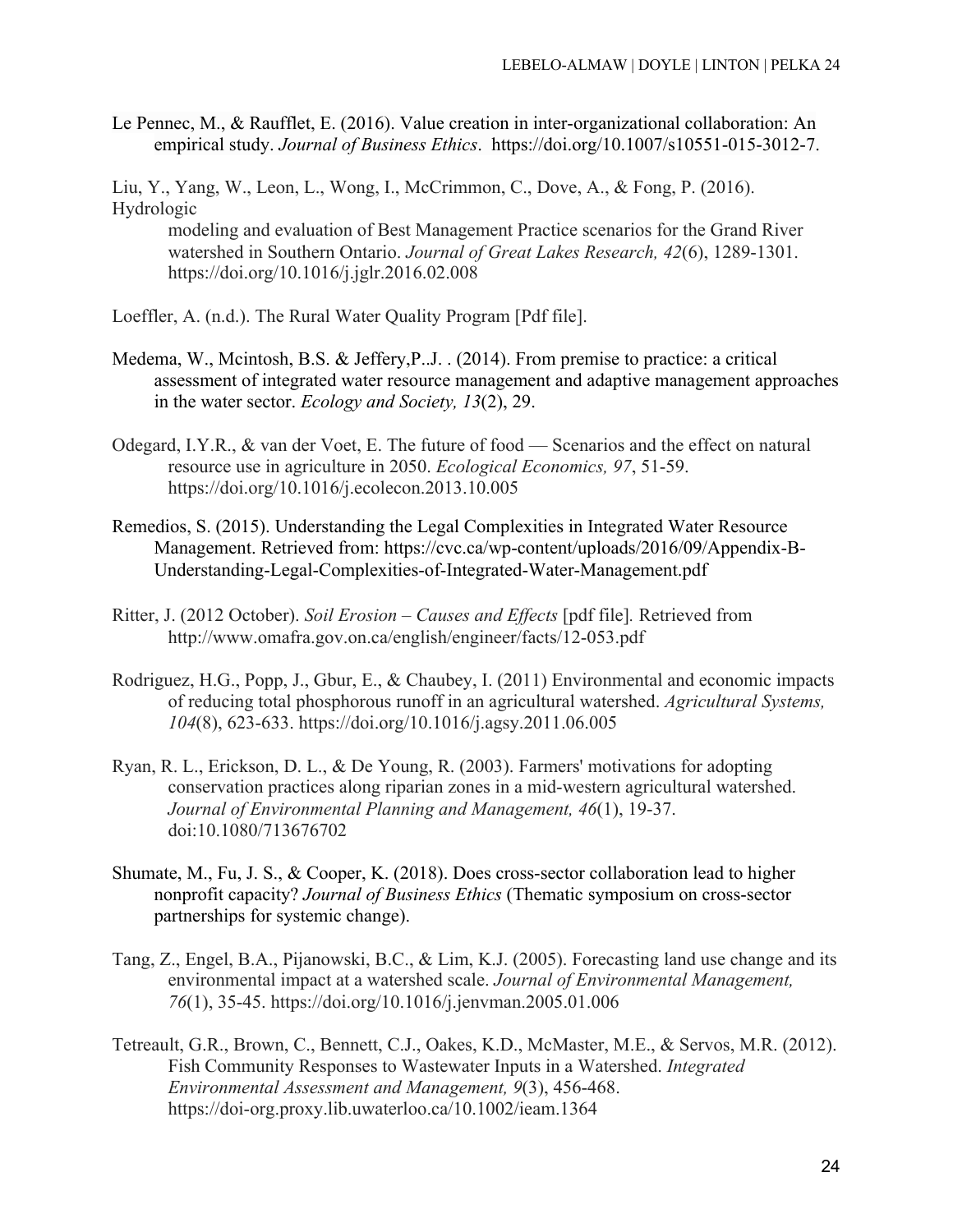Le Pennec, M., & Raufflet, E. (2016). Value creation in inter-organizational collaboration: An empirical study. *Journal of Business Ethics*. https://doi.org/10.1007/s10551-015-3012-7.

Liu, Y., Yang, W., Leon, L., Wong, I., McCrimmon, C., Dove, A., & Fong, P. (2016). Hydrologic

modeling and evaluation of Best Management Practice scenarios for the Grand River watershed in Southern Ontario. *Journal of Great Lakes Research, 42*(6), 1289-1301. https://doi.org/10.1016/j.jglr.2016.02.008

- Loeffler, A. (n.d.). The Rural Water Quality Program [Pdf file].
- Medema, W., Mcintosh, B.S. & Jeffery,P..J. . (2014). From premise to practice: a critical assessment of integrated water resource management and adaptive management approaches in the water sector. *Ecology and Society, 13*(2), 29.
- Odegard, I.Y.R., & van der Voet, E. The future of food Scenarios and the effect on natural resource use in agriculture in 2050. *Ecological Economics, 97*, 51-59. https://doi.org/10.1016/j.ecolecon.2013.10.005
- Remedios, S. (2015). Understanding the Legal Complexities in Integrated Water Resource Management. Retrieved from: https://cvc.ca/wp-content/uploads/2016/09/Appendix-B-Understanding-Legal-Complexities-of-Integrated-Water-Management.pdf
- Ritter, J. (2012 October). *Soil Erosion – Causes and Effects* [pdf file]*.* Retrieved from http://www.omafra.gov.on.ca/english/engineer/facts/12-053.pdf
- Rodriguez, H.G., Popp, J., Gbur, E., & Chaubey, I. (2011) Environmental and economic impacts of reducing total phosphorous runoff in an agricultural watershed. *Agricultural Systems, 104*(8), 623-633. https://doi.org/10.1016/j.agsy.2011.06.005
- Ryan, R. L., Erickson, D. L., & De Young, R. (2003). Farmers' motivations for adopting conservation practices along riparian zones in a mid-western agricultural watershed. *Journal of Environmental Planning and Management, 46*(1), 19-37. doi:10.1080/713676702
- Shumate, M., Fu, J. S., & Cooper, K. (2018). Does cross-sector collaboration lead to higher nonprofit capacity? *Journal of Business Ethics* (Thematic symposium on cross-sector partnerships for systemic change).
- Tang, Z., Engel, B.A., Pijanowski, B.C., & Lim, K.J. (2005). Forecasting land use change and its environmental impact at a watershed scale. *Journal of Environmental Management, 76*(1), 35-45. https://doi.org/10.1016/j.jenvman.2005.01.006
- Tetreault, G.R., Brown, C., Bennett, C.J., Oakes, K.D., McMaster, M.E., & Servos, M.R. (2012). Fish Community Responses to Wastewater Inputs in a Watershed. *Integrated Environmental Assessment and Management, 9*(3), 456-468. https://doi-org.proxy.lib.uwaterloo.ca/10.1002/ieam.1364